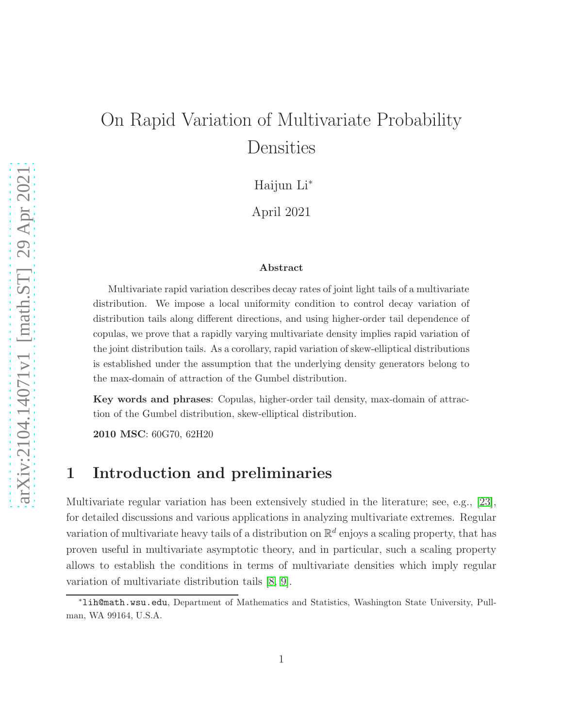# On Rapid Variation of Multivariate Probability Densities

Haijun Li<sup>∗</sup>

April 2021

#### Abstract

Multivariate rapid variation describes decay rates of joint light tails of a multivariate distribution. We impose a local uniformity condition to control decay variation of distribution tails along different directions, and using higher-order tail dependence of copulas, we prove that a rapidly varying multivariate density implies rapid variation of the joint distribution tails. As a corollary, rapid variation of skew-elliptical distributions is established under the assumption that the underlying density generators belong to the max-domain of attraction of the Gumbel distribution.

Key words and phrases: Copulas, higher-order tail density, max-domain of attraction of the Gumbel distribution, skew-elliptical distribution.

2010 MSC: 60G70, 62H20

# 1 Introduction and preliminaries

Multivariate regular variation has been extensively studied in the literature; see, e.g., [\[23\]](#page-22-0), for detailed discussions and various applications in analyzing multivariate extremes. Regular variation of multivariate heavy tails of a distribution on  $\mathbb{R}^d$  enjoys a scaling property, that has proven useful in multivariate asymptotic theory, and in particular, such a scaling property allows to establish the conditions in terms of multivariate densities which imply regular variation of multivariate distribution tails [\[8,](#page-20-0) [9\]](#page-21-0).

<sup>∗</sup>lih@math.wsu.edu, Department of Mathematics and Statistics, Washington State University, Pullman, WA 99164, U.S.A.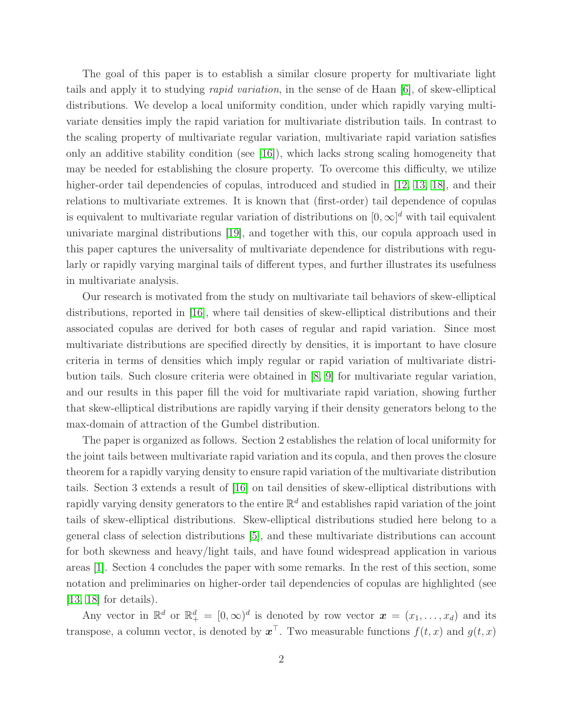The goal of this paper is to establish a similar closure property for multivariate light tails and apply it to studying rapid variation, in the sense of de Haan [\[6\]](#page-20-1), of skew-elliptical distributions. We develop a local uniformity condition, under which rapidly varying multivariate densities imply the rapid variation for multivariate distribution tails. In contrast to the scaling property of multivariate regular variation, multivariate rapid variation satisfies only an additive stability condition (see [\[16\]](#page-21-1)), which lacks strong scaling homogeneity that may be needed for establishing the closure property. To overcome this difficulty, we utilize higher-order tail dependencies of copulas, introduced and studied in [\[12,](#page-21-2) [13,](#page-21-3) [18\]](#page-21-4), and their relations to multivariate extremes. It is known that (first-order) tail dependence of copulas is equivalent to multivariate regular variation of distributions on  $[0, \infty]^d$  with tail equivalent univariate marginal distributions [\[19\]](#page-21-5), and together with this, our copula approach used in this paper captures the universality of multivariate dependence for distributions with regularly or rapidly varying marginal tails of different types, and further illustrates its usefulness in multivariate analysis.

Our research is motivated from the study on multivariate tail behaviors of skew-elliptical distributions, reported in [\[16\]](#page-21-1), where tail densities of skew-elliptical distributions and their associated copulas are derived for both cases of regular and rapid variation. Since most multivariate distributions are specified directly by densities, it is important to have closure criteria in terms of densities which imply regular or rapid variation of multivariate distribution tails. Such closure criteria were obtained in [\[8,](#page-20-0) [9\]](#page-21-0) for multivariate regular variation, and our results in this paper fill the void for multivariate rapid variation, showing further that skew-elliptical distributions are rapidly varying if their density generators belong to the max-domain of attraction of the Gumbel distribution.

The paper is organized as follows. Section 2 establishes the relation of local uniformity for the joint tails between multivariate rapid variation and its copula, and then proves the closure theorem for a rapidly varying density to ensure rapid variation of the multivariate distribution tails. Section 3 extends a result of [\[16\]](#page-21-1) on tail densities of skew-elliptical distributions with rapidly varying density generators to the entire  $\mathbb{R}^d$  and establishes rapid variation of the joint tails of skew-elliptical distributions. Skew-elliptical distributions studied here belong to a general class of selection distributions [\[5\]](#page-20-2), and these multivariate distributions can account for both skewness and heavy/light tails, and have found widespread application in various areas [\[1\]](#page-20-3). Section 4 concludes the paper with some remarks. In the rest of this section, some notation and preliminaries on higher-order tail dependencies of copulas are highlighted (see [\[13,](#page-21-3) [18\]](#page-21-4) for details).

Any vector in  $\mathbb{R}^d$  or  $\mathbb{R}^d_+ = [0, \infty)^d$  is denoted by row vector  $\boldsymbol{x} = (x_1, \ldots, x_d)$  and its transpose, a column vector, is denoted by  $x^{\top}$ . Two measurable functions  $f(t, x)$  and  $g(t, x)$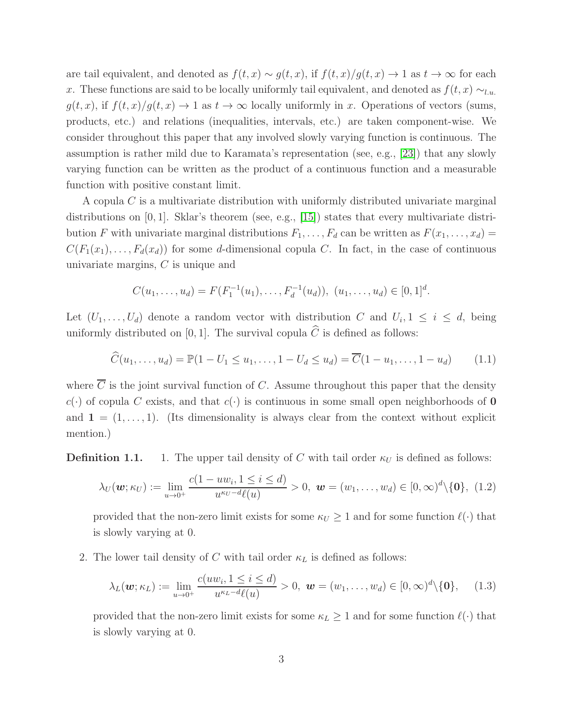are tail equivalent, and denoted as  $f(t, x) \sim g(t, x)$ , if  $f(t, x)/g(t, x) \to 1$  as  $t \to \infty$  for each x. These functions are said to be locally uniformly tail equivalent, and denoted as  $f(t, x) \sim_{l.u.}$  $g(t, x)$ , if  $f(t, x)/g(t, x) \to 1$  as  $t \to \infty$  locally uniformly in x. Operations of vectors (sums, products, etc.) and relations (inequalities, intervals, etc.) are taken component-wise. We consider throughout this paper that any involved slowly varying function is continuous. The assumption is rather mild due to Karamata's representation (see, e.g., [\[23\]](#page-22-0)) that any slowly varying function can be written as the product of a continuous function and a measurable function with positive constant limit.

A copula C is a multivariate distribution with uniformly distributed univariate marginal distributions on  $[0, 1]$ . Sklar's theorem (see, e.g., [\[15\]](#page-21-6)) states that every multivariate distribution F with univariate marginal distributions  $F_1, \ldots, F_d$  can be written as  $F(x_1, \ldots, x_d)$  $C(F_1(x_1), \ldots, F_d(x_d))$  for some d-dimensional copula C. In fact, in the case of continuous univariate margins, C is unique and

$$
C(u_1,\ldots,u_d)=F(F_1^{-1}(u_1),\ldots,F_d^{-1}(u_d)), (u_1,\ldots,u_d)\in[0,1]^d.
$$

Let  $(U_1, \ldots, U_d)$  denote a random vector with distribution C and  $U_i, 1 \leq i \leq d$ , being uniformly distributed on [0, 1]. The survival copula  $\widehat{C}$  is defined as follows:

<span id="page-2-2"></span>
$$
\widehat{C}(u_1,\ldots,u_d) = \mathbb{P}(1-U_1 \le u_1,\ldots,1-U_d \le u_d) = \overline{C}(1-u_1,\ldots,1-u_d) \qquad (1.1)
$$

where  $\overline{C}$  is the joint survival function of C. Assume throughout this paper that the density  $c(\cdot)$  of copula C exists, and that  $c(\cdot)$  is continuous in some small open neighborhoods of 0 and  $\mathbf{1} = (1, \ldots, 1)$ . (Its dimensionality is always clear from the context without explicit mention.)

**Definition 1.1.** 1. The upper tail density of C with tail order  $\kappa_U$  is defined as follows:

<span id="page-2-0"></span>
$$
\lambda_U(\mathbf{w}; \kappa_U) := \lim_{u \to 0^+} \frac{c(1 - uw_i, 1 \le i \le d)}{u^{\kappa_U - d}(\mu)} > 0, \ \mathbf{w} = (w_1, \dots, w_d) \in [0, \infty)^d \setminus \{\mathbf{0}\}, \ (1.2)
$$

provided that the non-zero limit exists for some  $\kappa_U \geq 1$  and for some function  $\ell(\cdot)$  that is slowly varying at 0.

2. The lower tail density of  $C$  with tail order  $\kappa_L$  is defined as follows:

<span id="page-2-1"></span>
$$
\lambda_L(\mathbf{w}; \kappa_L) := \lim_{u \to 0^+} \frac{c(uw_i, 1 \le i \le d)}{u^{\kappa_L - d}(\mu)} > 0, \ \mathbf{w} = (w_1, \dots, w_d) \in [0, \infty)^d \setminus \{\mathbf{0}\}, \tag{1.3}
$$

provided that the non-zero limit exists for some  $\kappa_L \geq 1$  and for some function  $\ell(\cdot)$  that is slowly varying at 0.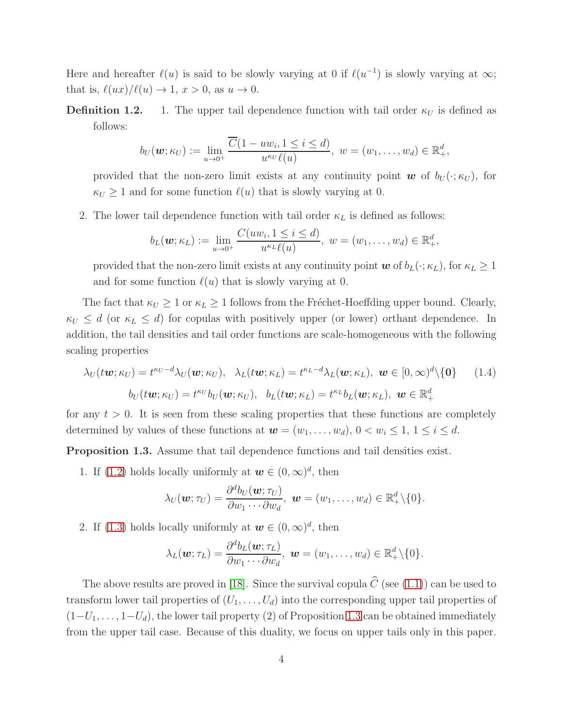Here and hereafter  $\ell(u)$  is said to be slowly varying at 0 if  $\ell(u^{-1})$  is slowly varying at  $\infty$ ; that is,  $\ell(ux)/\ell(u) \to 1$ ,  $x > 0$ , as  $u \to 0$ .

**Definition 1.2.** 1. The upper tail dependence function with tail order  $\kappa_U$  is defined as follows:

$$
b_U(\mathbf{w}; \kappa_U) := \lim_{u \to 0^+} \frac{\overline{C}(1 - uw_i, 1 \leq i \leq d)}{u^{\kappa_U}(\mu)}, \ w = (w_1, \dots, w_d) \in \mathbb{R}_+^d,
$$

provided that the non-zero limit exists at any continuity point w of  $b_U(\cdot;\kappa_U)$ , for  $\kappa_U \geq 1$  and for some function  $\ell(u)$  that is slowly varying at 0.

2. The lower tail dependence function with tail order  $\kappa_L$  is defined as follows:

$$
b_L(\mathbf{w}; \kappa_L) := \lim_{u \to 0^+} \frac{C(uw_i, 1 \leq i \leq d)}{u^{\kappa_L} \ell(u)}, \ w = (w_1, \dots, w_d) \in \mathbb{R}^d_+,
$$

provided that the non-zero limit exists at any continuity point  $w$  of  $b_L(\cdot;\kappa_L)$ , for  $\kappa_L \geq 1$ and for some function  $\ell(u)$  that is slowly varying at 0.

The fact that  $\kappa_U \geq 1$  or  $\kappa_L \geq 1$  follows from the Fréchet-Hoeffding upper bound. Clearly,  $\kappa_U \leq d$  (or  $\kappa_L \leq d$ ) for copulas with positively upper (or lower) orthant dependence. In addition, the tail densities and tail order functions are scale-homogeneous with the following scaling properties

<span id="page-3-1"></span>
$$
\lambda_U(t\mathbf{w}; \kappa_U) = t^{\kappa_U - d} \lambda_U(\mathbf{w}; \kappa_U), \quad \lambda_L(t\mathbf{w}; \kappa_L) = t^{\kappa_L - d} \lambda_L(\mathbf{w}; \kappa_L), \quad \mathbf{w} \in [0, \infty)^d \setminus \{\mathbf{0}\} \tag{1.4}
$$
\n
$$
b_U(t\mathbf{w}; \kappa_U) = t^{\kappa_U} b_U(\mathbf{w}; \kappa_U), \quad b_L(t\mathbf{w}; \kappa_L) = t^{\kappa_L} b_L(\mathbf{w}; \kappa_L), \quad \mathbf{w} \in \mathbb{R}^d_+
$$

for any  $t > 0$ . It is seen from these scaling properties that these functions are completely determined by values of these functions at  $\mathbf{w} = (w_1, \ldots, w_d), 0 < w_i \leq 1, 1 \leq i \leq d$ .

<span id="page-3-0"></span>Proposition 1.3. Assume that tail dependence functions and tail densities exist.

1. If [\(1.2\)](#page-2-0) holds locally uniformly at  $w \in (0, \infty)^d$ , then

$$
\lambda_U(\mathbf{w};\tau_U)=\frac{\partial^d b_U(\mathbf{w};\tau_U)}{\partial w_1\cdots\partial w_d},\ \mathbf{w}=(w_1,\ldots,w_d)\in\mathbb{R}^d_+\setminus\{0\}.
$$

2. If [\(1.3\)](#page-2-1) holds locally uniformly at  $w \in (0, \infty)^d$ , then

$$
\lambda_L(\boldsymbol{w};\tau_L)=\frac{\partial^d b_L(\boldsymbol{w};\tau_L)}{\partial w_1\cdots\partial w_d},\ \boldsymbol{w}=(w_1,\ldots,w_d)\in\mathbb{R}^d_+\backslash\{0\}.
$$

The above results are proved in [\[18\]](#page-21-4). Since the survival copula  $\widehat{C}$  (see [\(1.1\)](#page-2-2)) can be used to transform lower tail properties of  $(U_1, \ldots, U_d)$  into the corresponding upper tail properties of  $(1-U_1, \ldots, 1-U_d)$ , the lower tail property (2) of Proposition [1.3](#page-3-0) can be obtained immediately from the upper tail case. Because of this duality, we focus on upper tails only in this paper.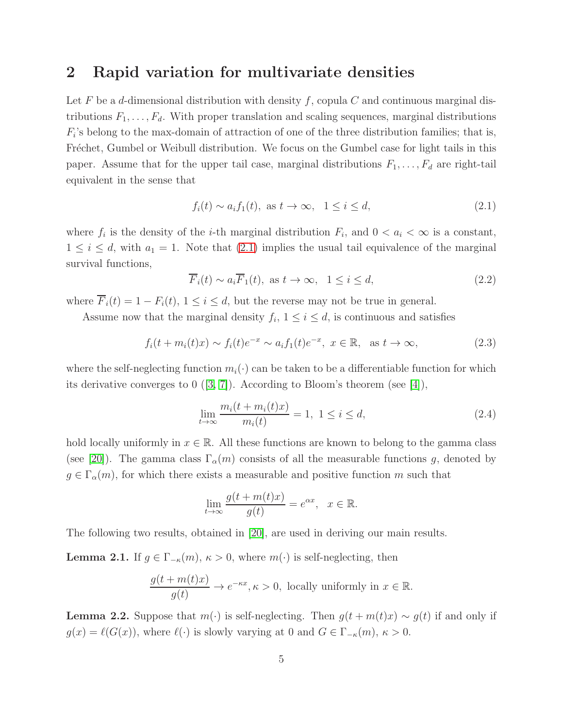### 2 Rapid variation for multivariate densities

Let F be a d-dimensional distribution with density f, copula C and continuous marginal distributions  $F_1, \ldots, F_d$ . With proper translation and scaling sequences, marginal distributions  $F_i$ 's belong to the max-domain of attraction of one of the three distribution families; that is, Fréchet, Gumbel or Weibull distribution. We focus on the Gumbel case for light tails in this paper. Assume that for the upper tail case, marginal distributions  $F_1, \ldots, F_d$  are right-tail equivalent in the sense that

<span id="page-4-0"></span>
$$
f_i(t) \sim a_i f_1(t), \text{ as } t \to \infty, \quad 1 \le i \le d,
$$
\n
$$
(2.1)
$$

where  $f_i$  is the density of the *i*-th marginal distribution  $F_i$ , and  $0 < a_i < \infty$  is a constant,  $1 \leq i \leq d$ , with  $a_1 = 1$ . Note that  $(2.1)$  implies the usual tail equivalence of the marginal survival functions,

<span id="page-4-4"></span>
$$
\overline{F}_i(t) \sim a_i \overline{F}_1(t), \text{ as } t \to \infty, \quad 1 \le i \le d,
$$
\n(2.2)

where  $\overline{F}_i(t) = 1 - F_i(t)$ ,  $1 \leq i \leq d$ , but the reverse may not be true in general.

Assume now that the marginal density  $f_i$ ,  $1 \leq i \leq d$ , is continuous and satisfies

<span id="page-4-3"></span>
$$
f_i(t + m_i(t)x) \sim f_i(t)e^{-x} \sim a_i f_1(t)e^{-x}, \ x \in \mathbb{R}, \ \text{as } t \to \infty,
$$
 (2.3)

where the self-neglecting function  $m_i(\cdot)$  can be taken to be a differentiable function for which its derivative converges to 0([\[3,](#page-20-4) [7\]](#page-20-5)). According to Bloom's theorem (see [\[4\]](#page-20-6)),

<span id="page-4-5"></span>
$$
\lim_{t \to \infty} \frac{m_i(t + m_i(t)x)}{m_i(t)} = 1, \ 1 \le i \le d,
$$
\n(2.4)

hold locally uniformly in  $x \in \mathbb{R}$ . All these functions are known to belong to the gamma class (see [\[20\]](#page-21-7)). The gamma class  $\Gamma_{\alpha}(m)$  consists of all the measurable functions g, denoted by  $g \in \Gamma_\alpha(m)$ , for which there exists a measurable and positive function m such that

$$
\lim_{t \to \infty} \frac{g(t + m(t)x)}{g(t)} = e^{\alpha x}, \quad x \in \mathbb{R}.
$$

The following two results, obtained in [\[20\]](#page-21-7), are used in deriving our main results.

<span id="page-4-1"></span>**Lemma 2.1.** If  $g \in \Gamma_{-\kappa}(m)$ ,  $\kappa > 0$ , where  $m(\cdot)$  is self-neglecting, then

$$
\frac{g(t+m(t)x)}{g(t)} \to e^{-\kappa x}, \kappa > 0, \text{ locally uniformly in } x \in \mathbb{R}.
$$

<span id="page-4-2"></span>**Lemma 2.2.** Suppose that  $m(\cdot)$  is self-neglecting. Then  $g(t + m(t)x) \sim g(t)$  if and only if  $g(x) = \ell(G(x))$ , where  $\ell(\cdot)$  is slowly varying at 0 and  $G \in \Gamma_{-\kappa}(m)$ ,  $\kappa > 0$ .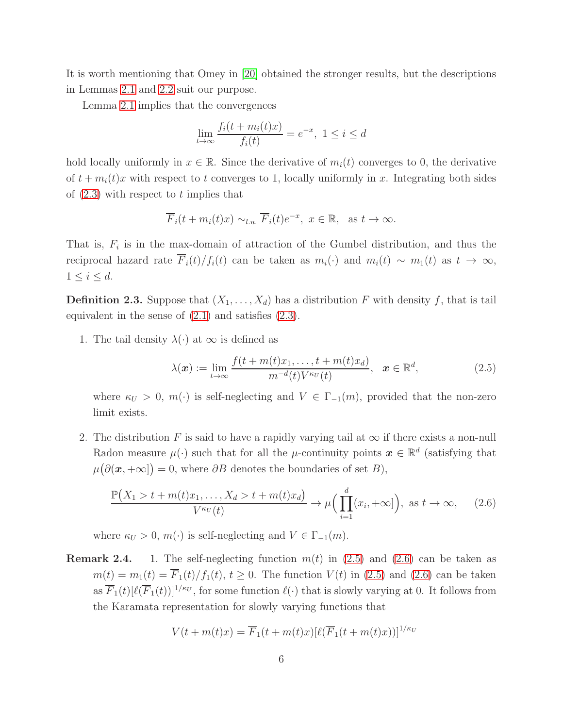It is worth mentioning that Omey in [\[20\]](#page-21-7) obtained the stronger results, but the descriptions in Lemmas [2.1](#page-4-1) and [2.2](#page-4-2) suit our purpose.

Lemma [2.1](#page-4-1) implies that the convergences

$$
\lim_{t \to \infty} \frac{f_i(t + m_i(t)x)}{f_i(t)} = e^{-x}, \ 1 \le i \le d
$$

hold locally uniformly in  $x \in \mathbb{R}$ . Since the derivative of  $m_i(t)$  converges to 0, the derivative of  $t + m_i(t)x$  with respect to t converges to 1, locally uniformly in x. Integrating both sides of  $(2.3)$  with respect to t implies that

$$
\overline{F}_i(t+m_i(t)x) \sim_{l.u.} \overline{F}_i(t)e^{-x}, \ x \in \mathbb{R}, \text{ as } t \to \infty.
$$

That is,  $F_i$  is in the max-domain of attraction of the Gumbel distribution, and thus the reciprocal hazard rate  $\overline{F}_i(t)/f_i(t)$  can be taken as  $m_i(\cdot)$  and  $m_i(t) \sim m_1(t)$  as  $t \to \infty$ ,  $1 \leq i \leq d$ .

**Definition 2.3.** Suppose that  $(X_1, \ldots, X_d)$  has a distribution F with density f, that is tail equivalent in the sense of [\(2.1\)](#page-4-0) and satisfies [\(2.3\)](#page-4-3).

1. The tail density  $\lambda(\cdot)$  at  $\infty$  is defined as

<span id="page-5-0"></span>
$$
\lambda(\boldsymbol{x}) := \lim_{t \to \infty} \frac{f(t + m(t)x_1, \dots, t + m(t)x_d)}{m^{-d}(t)V^{\kappa_U}(t)}, \quad \boldsymbol{x} \in \mathbb{R}^d,
$$
\n(2.5)

where  $\kappa_U > 0$ ,  $m(\cdot)$  is self-neglecting and  $V \in \Gamma_{-1}(m)$ , provided that the non-zero limit exists.

2. The distribution F is said to have a rapidly varying tail at  $\infty$  if there exists a non-null Radon measure  $\mu(\cdot)$  such that for all the  $\mu$ -continuity points  $\boldsymbol{x} \in \mathbb{R}^d$  (satisfying that  $\mu(\partial(\mathbf{x}, +\infty)) = 0$ , where  $\partial B$  denotes the boundaries of set  $B)$ ,

<span id="page-5-1"></span>
$$
\frac{\mathbb{P}\big(X_1 > t + m(t)x_1, \dots, X_d > t + m(t)x_d\big)}{V^{\kappa_U}(t)} \to \mu\Big(\prod_{i=1}^d (x_i, +\infty]\Big), \text{ as } t \to \infty,\tag{2.6}
$$

where  $\kappa_U > 0$ ,  $m(\cdot)$  is self-neglecting and  $V \in \Gamma_{-1}(m)$ .

**Remark 2.4.** 1. The self-neglecting function  $m(t)$  in [\(2.5\)](#page-5-0) and [\(2.6\)](#page-5-1) can be taken as  $m(t) = m_1(t) = \overline{F}_1(t)/f_1(t), t \ge 0$ . The function  $V(t)$  in [\(2.5\)](#page-5-0) and [\(2.6\)](#page-5-1) can be taken as  $\overline{F}_1(t)[\ell(\overline{F}_1(t))]^{1/\kappa_U}$ , for some function  $\ell(\cdot)$  that is slowly varying at 0. It follows from the Karamata representation for slowly varying functions that

$$
V(t+m(t)x) = \overline{F}_1(t+m(t)x)[\ell(\overline{F}_1(t+m(t)x))]^{1/\kappa_U}
$$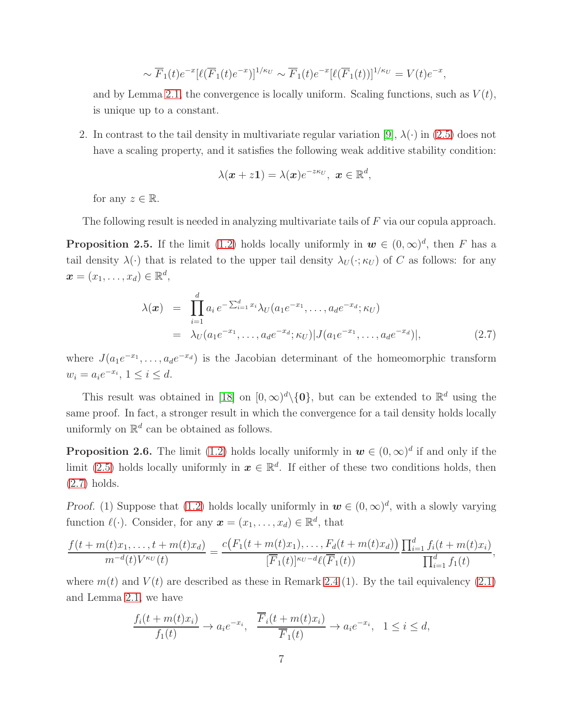$$
\sim \overline{F}_1(t)e^{-x}[\ell(\overline{F}_1(t)e^{-x})]^{1/\kappa_U} \sim \overline{F}_1(t)e^{-x}[\ell(\overline{F}_1(t))]^{1/\kappa_U} = V(t)e^{-x},
$$

and by Lemma [2.1,](#page-4-1) the convergence is locally uniform. Scaling functions, such as  $V(t)$ , is unique up to a constant.

2. In contrast to the tail density in multivariate regular variation [\[9\]](#page-21-0),  $\lambda(\cdot)$  in [\(2.5\)](#page-5-0) does not have a scaling property, and it satisfies the following weak additive stability condition:

$$
\lambda(\boldsymbol{x} + z\mathbf{1}) = \lambda(\boldsymbol{x})e^{-z\kappa_U}, \ \boldsymbol{x} \in \mathbb{R}^d,
$$

for any  $z \in \mathbb{R}$ .

The following result is needed in analyzing multivariate tails of F via our copula approach.

**Proposition 2.5.** If the limit [\(1.2\)](#page-2-0) holds locally uniformly in  $w \in (0,\infty)^d$ , then F has a tail density  $\lambda(\cdot)$  that is related to the upper tail density  $\lambda_U(\cdot;\kappa_U)$  of C as follows: for any  $\boldsymbol{x} = (x_1, \ldots, x_d) \in \mathbb{R}^d$ ,

<span id="page-6-0"></span>
$$
\lambda(\boldsymbol{x}) = \prod_{i=1}^{d} a_i e^{-\sum_{i=1}^{d} x_i} \lambda_U(a_1 e^{-x_1}, \dots, a_d e^{-x_d}; \kappa_U)
$$
  
=  $\lambda_U(a_1 e^{-x_1}, \dots, a_d e^{-x_d}; \kappa_U) |J(a_1 e^{-x_1}, \dots, a_d e^{-x_d})|,$  (2.7)

where  $J(a_1e^{-x_1}, \ldots, a_de^{-x_d})$  is the Jacobian determinant of the homeomorphic transform  $w_i = a_i e^{-x_i}, \ 1 \leq i \leq d.$ 

This result was obtained in [\[18\]](#page-21-4) on  $[0,\infty)^d \setminus \{0\}$ , but can be extended to  $\mathbb{R}^d$  using the same proof. In fact, a stronger result in which the convergence for a tail density holds locally uniformly on  $\mathbb{R}^d$  can be obtained as follows.

<span id="page-6-1"></span>**Proposition 2.6.** The limit [\(1.2\)](#page-2-0) holds locally uniformly in  $w \in (0, \infty)^d$  if and only if the limit [\(2.5\)](#page-5-0) holds locally uniformly in  $x \in \mathbb{R}^d$ . If either of these two conditions holds, then [\(2.7\)](#page-6-0) holds.

*Proof.* (1) Suppose that [\(1.2\)](#page-2-0) holds locally uniformly in  $w \in (0, \infty)^d$ , with a slowly varying function  $\ell(\cdot)$ . Consider, for any  $\boldsymbol{x} = (x_1, \ldots, x_d) \in \mathbb{R}^d$ , that

$$
\frac{f(t+m(t)x_1,\ldots,t+m(t)x_d)}{m^{-d}(t)V^{\kappa_U}(t)}=\frac{c(F_1(t+m(t)x_1),\ldots,F_d(t+m(t)x_d))}{[\overline{F}_1(t)]^{\kappa_U-d}\ell(\overline{F}_1(t))}\frac{\prod_{i=1}^d f_i(t+m(t)x_i)}{\prod_{i=1}^d f_1(t)},
$$

where  $m(t)$  and  $V(t)$  are described as these in Remark 2.4 (1). By the tail equivalency [\(2.1\)](#page-4-0) and Lemma [2.1,](#page-4-1) we have

$$
\frac{f_i(t+m(t)x_i)}{f_1(t)} \to a_i e^{-x_i}, \quad \frac{\overline{F}_i(t+m(t)x_i)}{\overline{F}_1(t)} \to a_i e^{-x_i}, \quad 1 \le i \le d,
$$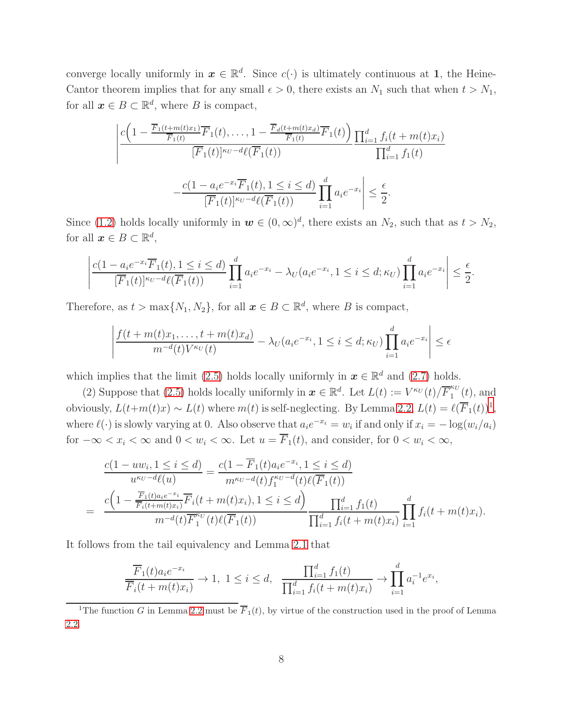converge locally uniformly in  $x \in \mathbb{R}^d$ . Since  $c(\cdot)$  is ultimately continuous at 1, the Heine-Cantor theorem implies that for any small  $\epsilon > 0$ , there exists an  $N_1$  such that when  $t > N_1$ , for all  $\boldsymbol{x} \in B \subset \mathbb{R}^d$ , where B is compact,

$$
\left| \frac{c\left(1 - \frac{\overline{F}_1(t+m(t)x_1)}{\overline{F}_1(t)}\overline{F}_1(t), \dots, 1 - \frac{\overline{F}_d(t+m(t)x_d)}{\overline{F}_1(t)}\overline{F}_1(t)\right)}{\overline{[F}_1(t)]^{\kappa_U - d} \ell(\overline{F}_1(t))} \frac{\prod_{i=1}^d f_i(t+m(t)x_i)}{\prod_{i=1}^d f_1(t)} - \frac{c(1 - a_i e^{-x_i} \overline{F}_1(t), 1 \le i \le d)}{\overline{[F}_1(t)]^{\kappa_U - d} \ell(\overline{F}_1(t))} \prod_{i=1}^d a_i e^{-x_i} \right| \le \frac{\epsilon}{2}.
$$

Since [\(1.2\)](#page-2-0) holds locally uniformly in  $w \in (0,\infty)^d$ , there exists an  $N_2$ , such that as  $t > N_2$ , for all  $\boldsymbol{x} \in B \subset \mathbb{R}^d$ ,

$$
\left| \frac{c(1 - a_i e^{-x_i} \overline{F}_1(t), 1 \le i \le d)}{[\overline{F}_1(t)]^{\kappa_U - d} \ell(\overline{F}_1(t))} \prod_{i=1}^d a_i e^{-x_i} - \lambda_U(a_i e^{-x_i}, 1 \le i \le d; \kappa_U) \prod_{i=1}^d a_i e^{-x_i} \right| \le \frac{\epsilon}{2}.
$$

Therefore, as  $t > \max\{N_1, N_2\}$ , for all  $\boldsymbol{x} \in B \subset \mathbb{R}^d$ , where B is compact,

$$
\left| \frac{f(t+m(t)x_1,\ldots,t+m(t)x_d)}{m^{-d}(t)V^{\kappa_U}(t)} - \lambda_U(a_i e^{-x_i}, 1 \le i \le d; \kappa_U) \prod_{i=1}^d a_i e^{-x_i} \right| \le \epsilon
$$

which implies that the limit [\(2.5\)](#page-5-0) holds locally uniformly in  $x \in \mathbb{R}^d$  and [\(2.7\)](#page-6-0) holds.

(2) Suppose that [\(2.5\)](#page-5-0) holds locally uniformly in  $\mathbf{x} \in \mathbb{R}^d$ . Let  $L(t) := V^{\kappa_U}(t)/\overline{F}_1^{\kappa_U}$  $\int_1^{\pi_U}(t)$ , and obviously,  $L(t+m(t)x) \sim L(t)$  where  $m(t)$  is self-neglecting. By Lemma [2.2,](#page-4-2)  $L(t) = \ell(\overline{F}_1(t))^1$  $L(t) = \ell(\overline{F}_1(t))^1$  $L(t) = \ell(\overline{F}_1(t))^1$ , where  $\ell(\cdot)$  is slowly varying at 0. Also observe that  $a_i e^{-x_i} = w_i$  if and only if  $x_i = -\log(w_i/a_i)$ for  $-\infty < x_i < \infty$  and  $0 < w_i < \infty$ . Let  $u = \overline{F}_1(t)$ , and consider, for  $0 < w_i < \infty$ ,

$$
\frac{c(1 - uw_i, 1 \leq i \leq d)}{u^{\kappa_U - d} \ell(u)} = \frac{c(1 - \overline{F}_1(t)a_i e^{-x_i}, 1 \leq i \leq d)}{m^{\kappa_U - d}(t)f_1^{\kappa_U - d}(t)\ell(\overline{F}_1(t))}
$$
\n
$$
= \frac{c\left(1 - \frac{\overline{F}_1(t)a_i e^{-x_i}}{\overline{F}_i(t+m(t)x_i)}\overline{F}_i(t+m(t)x_i), 1 \leq i \leq d\right)}{m^{-d}(t)\overline{F}_1^{\kappa_U}(t)\ell(\overline{F}_1(t))} \frac{\prod_{i=1}^d f_1(t)}{\prod_{i=1}^d f_i(t+m(t)x_i)} \prod_{i=1}^d f_i(t+m(t)x_i).
$$

It follows from the tail equivalency and Lemma [2.1](#page-4-1) that

$$
\frac{\overline{F}_1(t)a_i e^{-x_i}}{\overline{F}_i(t+m(t)x_i)} \to 1, \ 1 \le i \le d, \ \ \frac{\prod_{i=1}^d f_1(t)}{\prod_{i=1}^d f_i(t+m(t)x_i)} \to \prod_{i=1}^d a_i^{-1} e^{x_i},
$$

<span id="page-7-0"></span><sup>1</sup>The function G in Lemma [2.2](#page-4-2) must be  $\overline{F}_1(t)$ , by virtue of the construction used in the proof of Lemma [2.2.](#page-4-2)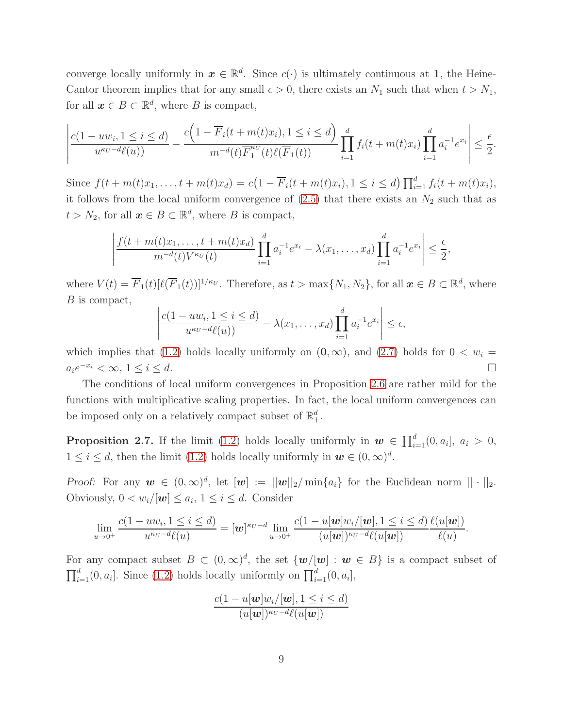converge locally uniformly in  $x \in \mathbb{R}^d$ . Since  $c(\cdot)$  is ultimately continuous at 1, the Heine-Cantor theorem implies that for any small  $\epsilon > 0$ , there exists an  $N_1$  such that when  $t > N_1$ , for all  $\boldsymbol{x} \in B \subset \mathbb{R}^d$ , where B is compact,

$$
\left| \frac{c(1 - uw_i, 1 \le i \le d)}{u^{\kappa_U - d}(\ell(u))} - \frac{c\left(1 - \overline{F}_i(t + m(t)x_i), 1 \le i \le d\right)}{m^{-d}(t)\overline{F}_1^{\kappa_U}(t)\ell(\overline{F}_1(t))} \prod_{i=1}^d f_i(t + m(t)x_i) \prod_{i=1}^d a_i^{-1} e^{x_i} \right| \le \frac{\epsilon}{2}.
$$

Since  $f(t + m(t)x_1, ..., t + m(t)x_d) = c(1 - \overline{F}_i(t + m(t)x_i), 1 \le i \le d) \prod_{i=1}^d f_i(t + m(t)x_i),$ it follows from the local uniform convergence of  $(2.5)$  that there exists an  $N_2$  such that as  $t > N_2$ , for all  $\boldsymbol{x} \in B \subset \mathbb{R}^d$ , where B is compact,

$$
\left| \frac{f(t+m(t)x_1,\ldots,t+m(t)x_d)}{m^{-d}(t)V^{\kappa_U}(t)}\prod_{i=1}^d a_i^{-1}e^{x_i} - \lambda(x_1,\ldots,x_d)\prod_{i=1}^d a_i^{-1}e^{x_i} \right| \leq \frac{\epsilon}{2},
$$

where  $V(t) = \overline{F}_1(t)[\ell(\overline{F}_1(t))]^{1/\kappa_U}$ . Therefore, as  $t > \max\{N_1, N_2\}$ , for all  $\boldsymbol{x} \in B \subset \mathbb{R}^d$ , where B is compact,

$$
\left|\frac{c(1-uw_i, 1 \leq i \leq d)}{u^{\kappa_U - d}(\ell(u))} - \lambda(x_1, \dots, x_d) \prod_{i=1}^d a_i^{-1} e^{x_i}\right| \leq \epsilon,
$$

which implies that [\(1.2\)](#page-2-0) holds locally uniformly on  $(0, \infty)$ , and [\(2.7\)](#page-6-0) holds for  $0 < w_i =$  $a_i e^{-x_i} < \infty$ ,  $1 \leq i \leq d$ .

The conditions of local uniform convergences in Proposition [2.6](#page-6-1) are rather mild for the functions with multiplicative scaling properties. In fact, the local uniform convergences can be imposed only on a relatively compact subset of  $\mathbb{R}^d_+$ .

**Proposition 2.7.** If the limit [\(1.2\)](#page-2-0) holds locally uniformly in  $w \in \prod_{i=1}^{d}(0, a_i], a_i > 0$ ,  $1 \leq i \leq d$ , then the limit [\(1.2\)](#page-2-0) holds locally uniformly in  $w \in (0, \infty)^d$ .

*Proof:* For any  $w \in (0,\infty)^d$ , let  $[w] := ||w||_2 / \min\{a_i\}$  for the Euclidean norm  $|| \cdot ||_2$ . Obviously,  $0 < w_i/[\mathbf{w}] \leq a_i, 1 \leq i \leq d$ . Consider

$$
\lim_{u\to 0^+} \frac{c(1-uw_i, 1\leq i\leq d)}{u^{\kappa_U-d}\ell(u)} = [\boldsymbol{w}]^{\kappa_U-d} \lim_{u\to 0^+} \frac{c(1-u[\boldsymbol{w}]w_i/[\boldsymbol{w}], 1\leq i\leq d)}{(u[\boldsymbol{w}])^{\kappa_U-d}\ell(u[\boldsymbol{w}])} \frac{\ell(u[\boldsymbol{w}])}{\ell(u)}.
$$

For any compact subset  $B \subset (0,\infty)^d$ , the set  $\{w/[w] : w \in B\}$  is a compact subset of  $\prod_{i=1}^{d} (0, a_i]$ . Since [\(1.2\)](#page-2-0) holds locally uniformly on  $\prod_{i=1}^{d} (0, a_i]$ ,

$$
\frac{c(1-u[\boldsymbol{w}]w_i/[\boldsymbol{w}], 1 \leq i \leq d)}{(u[\boldsymbol{w}])^{\kappa_U - d}\ell(u[\boldsymbol{w}])}
$$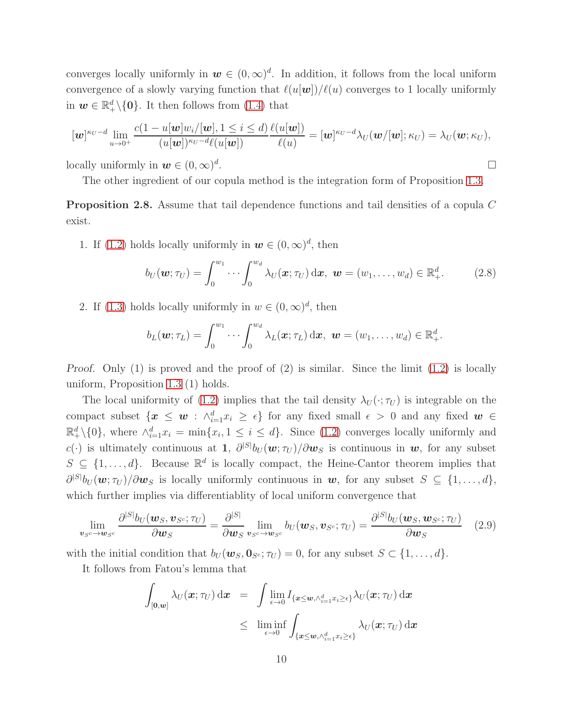converges locally uniformly in  $w \in (0, \infty)^d$ . In addition, it follows from the local uniform convergence of a slowly varying function that  $\ell(u[\boldsymbol{w}])/\ell(u)$  converges to 1 locally uniformly in  $w \in \mathbb{R}^d_+\backslash \{0\}$ . It then follows from [\(1.4\)](#page-3-1) that

$$
[\boldsymbol{w}]^{\kappa_U-d}\lim_{u\to 0^+}\frac{c(1-u[\boldsymbol{w}]w_i/[\boldsymbol{w}],1\leq i\leq d)}{(u[\boldsymbol{w}])^{\kappa_U-d}\ell(u[\boldsymbol{w}])}=[\boldsymbol{w}]^{\kappa_U-d}\lambda_U(\boldsymbol{w}/[\boldsymbol{w}];\kappa_U)=\lambda_U(\boldsymbol{w};\kappa_U),
$$

locally uniformly in  $\boldsymbol{w} \in (0, \infty)^d$ .

The other ingredient of our copula method is the integration form of Proposition [1.3.](#page-3-0)

<span id="page-9-2"></span>Proposition 2.8. Assume that tail dependence functions and tail densities of a copula C exist.

1. If [\(1.2\)](#page-2-0) holds locally uniformly in  $w \in (0, \infty)^d$ , then

<span id="page-9-1"></span>
$$
b_U(\boldsymbol{w};\tau_U)=\int_0^{w_1}\cdots\int_0^{w_d}\lambda_U(\boldsymbol{x};\tau_U)\,\mathrm{d}\boldsymbol{x},\ \boldsymbol{w}=(w_1,\ldots,w_d)\in\mathbb{R}_+^d.\tag{2.8}
$$

2. If [\(1.3\)](#page-2-1) holds locally uniformly in  $w \in (0, \infty)^d$ , then

$$
b_L(\boldsymbol{w};\tau_L)=\int_0^{w_1}\cdots\int_0^{w_d}\lambda_L(\boldsymbol{x};\tau_L)\,\mathrm{d}\boldsymbol{x},\ \boldsymbol{w}=(w_1,\ldots,w_d)\in\mathbb{R}_+^d.
$$

*Proof.* Only (1) is proved and the proof of (2) is similar. Since the limit [\(1.2\)](#page-2-0) is locally uniform, Proposition [1.3](#page-3-0) (1) holds.

The local uniformity of [\(1.2\)](#page-2-0) implies that the tail density  $\lambda_U(\cdot;\tau_U)$  is integrable on the compact subset  $\{x \leq w : \wedge_{i=1}^d x_i \geq \epsilon\}$  for any fixed small  $\epsilon > 0$  and any fixed  $w \in$  $\mathbb{R}^d_+\setminus\{0\}$ , where  $\wedge_{i=1}^d x_i = \min\{x_i, 1 \leq i \leq d\}$ . Since [\(1.2\)](#page-2-0) converges locally uniformly and c(.) is ultimately continuous at 1,  $\partial^{|S|}b_U(w;\tau_U)/\partial w_S$  is continuous in w, for any subset  $S \subseteq \{1, \ldots, d\}$ . Because  $\mathbb{R}^d$  is locally compact, the Heine-Cantor theorem implies that  $\partial^{|S|}b_U(\boldsymbol{w}; \tau_U)/\partial \boldsymbol{w}_S$  is locally uniformly continuous in  $\boldsymbol{w}$ , for any subset  $S \subseteq \{1, \ldots, d\}$ , which further implies via differentiablity of local uniform convergence that

<span id="page-9-0"></span>
$$
\lim_{\boldsymbol{v}_{Sc}\to\boldsymbol{w}_{Sc}}\frac{\partial^{|S|}b_{U}(\boldsymbol{w}_{S},\boldsymbol{v}_{S^{c}};\tau_{U})}{\partial\boldsymbol{w}_{S}}=\frac{\partial^{|S|}}{\partial\boldsymbol{w}_{S}}\lim_{\boldsymbol{v}_{Sc}\to\boldsymbol{w}_{Sc}}b_{U}(\boldsymbol{w}_{S},\boldsymbol{v}_{S^{c}};\tau_{U})=\frac{\partial^{|S|}b_{U}(\boldsymbol{w}_{S},\boldsymbol{w}_{S^{c}};\tau_{U})}{\partial\boldsymbol{w}_{S}}\quad(2.9)
$$

with the initial condition that  $b_U(\mathbf{w}_S, \mathbf{0}_{S^c}; \tau_U) = 0$ , for any subset  $S \subset \{1, \ldots, d\}$ .

It follows from Fatou's lemma that

$$
\int_{[\mathbf{0},\mathbf{w}]} \lambda_U(\mathbf{x};\tau_U) \, \mathrm{d}\mathbf{x} = \int \lim_{\epsilon \to 0} I_{\{\mathbf{x} \le \mathbf{w}, \wedge_{i=1}^d x_i \ge \epsilon\}} \lambda_U(\mathbf{x};\tau_U) \, \mathrm{d}\mathbf{x} \le \liminf_{\epsilon \to 0} \int_{\{\mathbf{x} \le \mathbf{w}, \wedge_{i=1}^d x_i \ge \epsilon\}} \lambda_U(\mathbf{x};\tau_U) \, \mathrm{d}\mathbf{x}
$$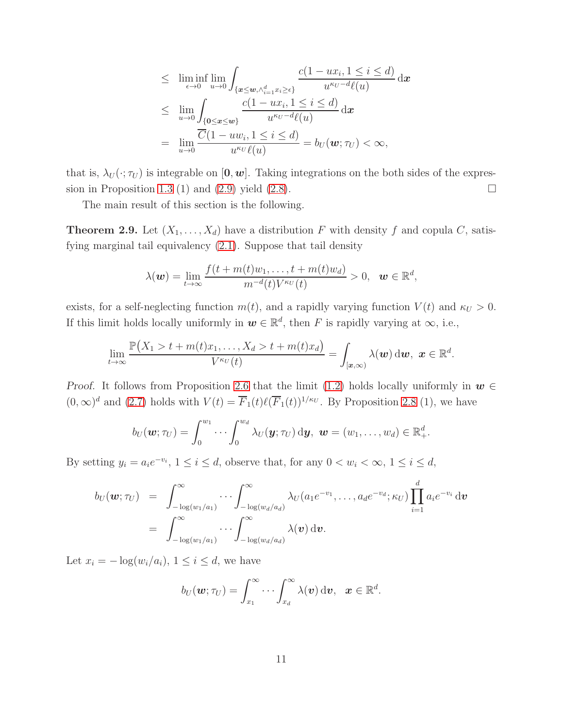$$
\leq \liminf_{\epsilon \to 0} \lim_{u \to 0} \int_{\{x \leq w, \wedge_{i=1}^d x_i \geq \epsilon\}} \frac{c(1 - ux_i, 1 \leq i \leq d)}{u^{\kappa_U - d} \ell(u)} d\mathbf{x}
$$
  

$$
\leq \lim_{u \to 0} \int_{\{0 \leq x \leq w\}} \frac{c(1 - ux_i, 1 \leq i \leq d)}{u^{\kappa_U - d} \ell(u)} d\mathbf{x}
$$
  

$$
= \lim_{u \to 0} \frac{\overline{C}(1 - uw_i, 1 \leq i \leq d)}{u^{\kappa_U} \ell(u)} = b_U(\mathbf{w}; \tau_U) < \infty,
$$

that is,  $\lambda_U(\cdot;\tau_U)$  is integrable on  $[0, w]$ . Taking integrations on the both sides of the expres-sion in Proposition [1.3](#page-3-0) (1) and [\(2.9\)](#page-9-0) yield [\(2.8\)](#page-9-1).  $\Box$ 

The main result of this section is the following.

<span id="page-10-0"></span>**Theorem 2.9.** Let  $(X_1, \ldots, X_d)$  have a distribution F with density f and copula C, satisfying marginal tail equivalency [\(2.1\)](#page-4-0). Suppose that tail density

$$
\lambda(\boldsymbol{w})=\lim_{t\to\infty}\frac{f(t+m(t)w_1,\ldots,t+m(t)w_d)}{m^{-d}(t)V^{\kappa_U}(t)}>0,\ \ \boldsymbol{w}\in\mathbb{R}^d,
$$

exists, for a self-neglecting function  $m(t)$ , and a rapidly varying function  $V(t)$  and  $\kappa_U > 0$ . If this limit holds locally uniformly in  $w \in \mathbb{R}^d$ , then F is rapidly varying at  $\infty$ , i.e.,

$$
\lim_{t\to\infty}\frac{\mathbb{P}\big(X_1>t+m(t)x_1,\ldots,X_d>t+m(t)x_d\big)}{V^{\kappa_U}(t)}=\int_{[\boldsymbol{x},\infty)}\lambda(\boldsymbol{w})\,\mathrm{d}\boldsymbol{w},\ \boldsymbol{x}\in\mathbb{R}^d.
$$

*Proof.* It follows from Proposition [2.6](#page-6-1) that the limit [\(1.2\)](#page-2-0) holds locally uniformly in  $w \in$  $(0,\infty)^d$  and  $(2.7)$  holds with  $V(t) = \overline{F}_1(t)\ell(\overline{F}_1(t))^{1/\kappa_U}$ . By Proposition [2.8](#page-9-2) (1), we have

$$
b_U(\boldsymbol{w};\tau_U)=\int_0^{w_1}\cdots\int_0^{w_d}\lambda_U(\boldsymbol{y};\tau_U)\,\mathrm{d}\boldsymbol{y},\ \boldsymbol{w}=(w_1,\ldots,w_d)\in\mathbb{R}_+^d.
$$

By setting  $y_i = a_i e^{-v_i}$ ,  $1 \le i \le d$ , observe that, for any  $0 < w_i < \infty$ ,  $1 \le i \le d$ ,

$$
b_U(\boldsymbol{w};\tau_U) = \int_{-\log(w_1/a_1)}^{\infty} \cdots \int_{-\log(w_d/a_d)}^{\infty} \lambda_U(a_1 e^{-v_1}, \ldots, a_d e^{-v_d}; \kappa_U) \prod_{i=1}^d a_i e^{-v_i} d\boldsymbol{v}
$$
  
= 
$$
\int_{-\log(w_1/a_1)}^{\infty} \cdots \int_{-\log(w_d/a_d)}^{\infty} \lambda(\boldsymbol{v}) d\boldsymbol{v}.
$$

Let  $x_i = -\log(w_i/a_i), 1 \leq i \leq d$ , we have

$$
b_U(\boldsymbol{w};\tau_U)=\int_{x_1}^\infty\cdots\int_{x_d}^\infty \lambda(\boldsymbol{v})\,\mathrm{d}\boldsymbol{v},\ \ \boldsymbol{x}\in\mathbb{R}^d.
$$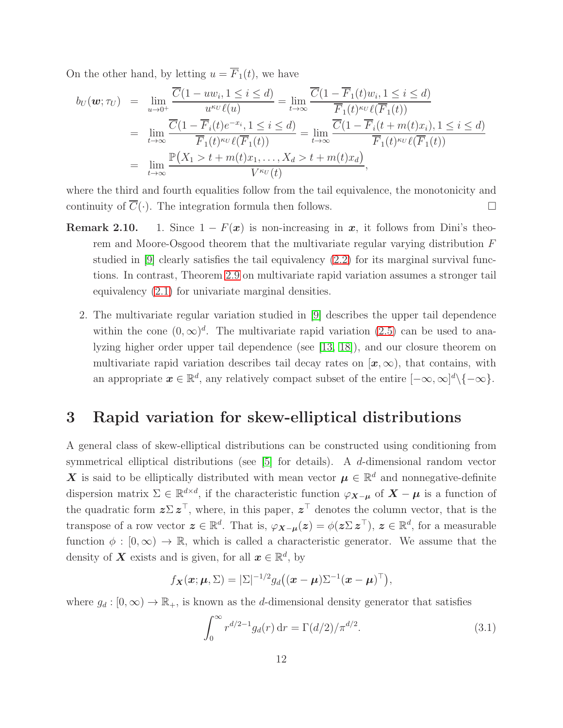On the other hand, by letting  $u = \overline{F}_1(t)$ , we have

$$
b_{U}(\mathbf{w};\tau_{U}) = \lim_{u \to 0^{+}} \frac{\overline{C}(1 - uw_{i}, 1 \leq i \leq d)}{u^{\kappa_{U}}\ell(u)} = \lim_{t \to \infty} \frac{\overline{C}(1 - \overline{F}_{1}(t)w_{i}, 1 \leq i \leq d)}{\overline{F}_{1}(t)^{\kappa_{U}}\ell(\overline{F}_{1}(t))}
$$
  
\n
$$
= \lim_{t \to \infty} \frac{\overline{C}(1 - \overline{F}_{i}(t)e^{-x_{i}}, 1 \leq i \leq d)}{\overline{F}_{1}(t)^{\kappa_{U}}\ell(\overline{F}_{1}(t))} = \lim_{t \to \infty} \frac{\overline{C}(1 - \overline{F}_{i}(t + m(t)x_{i}), 1 \leq i \leq d)}{\overline{F}_{1}(t)^{\kappa_{U}}\ell(\overline{F}_{1}(t))}
$$
  
\n
$$
= \lim_{t \to \infty} \frac{\mathbb{P}(X_{1} > t + m(t)x_{1}, \ldots, X_{d} > t + m(t)x_{d})}{V^{\kappa_{U}}(t)},
$$

where the third and fourth equalities follow from the tail equivalence, the monotonicity and continuity of  $\overline{C}(\cdot)$ . The integration formula then follows.

- **Remark 2.10.** 1. Since  $1 F(x)$  is non-increasing in x, it follows from Dini's theorem and Moore-Osgood theorem that the multivariate regular varying distribution  $F$ studied in  $[9]$  clearly satisfies the tail equivalency  $(2.2)$  for its marginal survival functions. In contrast, Theorem [2.9](#page-10-0) on multivariate rapid variation assumes a stronger tail equivalency [\(2.1\)](#page-4-0) for univariate marginal densities.
	- 2. The multivariate regular variation studied in [\[9\]](#page-21-0) describes the upper tail dependence within the cone  $(0,\infty)^d$ . The multivariate rapid variation  $(2.5)$  can be used to analyzing higher order upper tail dependence (see [\[13,](#page-21-3) [18\]](#page-21-4)), and our closure theorem on multivariate rapid variation describes tail decay rates on  $[\mathbf{x}, \infty)$ , that contains, with an appropriate  $x \in \mathbb{R}^d$ , any relatively compact subset of the entire  $[-\infty, \infty]^d \setminus \{-\infty\}.$

# 3 Rapid variation for skew-elliptical distributions

A general class of skew-elliptical distributions can be constructed using conditioning from symmetrical elliptical distributions (see [\[5\]](#page-20-2) for details). A d-dimensional random vector X is said to be elliptically distributed with mean vector  $\mu \in \mathbb{R}^d$  and nonnegative-definite dispersion matrix  $\Sigma \in \mathbb{R}^{d \times d}$ , if the characteristic function  $\varphi_{\bm{X}-\bm{\mu}}$  of  $\bm{X}-\bm{\mu}$  is a function of the quadratic form  $\bm{z} \Sigma \bm{z}^{\top}$ , where, in this paper,  $\bm{z}^{\top}$  denotes the column vector, that is the transpose of a row vector  $\boldsymbol{z} \in \mathbb{R}^d$ . That is,  $\varphi_{\boldsymbol{X}-\boldsymbol{\mu}}(\boldsymbol{z}) = \phi(\boldsymbol{z} \Sigma \boldsymbol{z}^\top)$ ,  $\boldsymbol{z} \in \mathbb{R}^d$ , for a measurable function  $\phi : [0, \infty) \to \mathbb{R}$ , which is called a characteristic generator. We assume that the density of **X** exists and is given, for all  $x \in \mathbb{R}^d$ , by

$$
f_{\mathbf{X}}(\mathbf{x}; \boldsymbol{\mu}, \boldsymbol{\Sigma}) = |\boldsymbol{\Sigma}|^{-1/2} g_d((\mathbf{x} - \boldsymbol{\mu}) \boldsymbol{\Sigma}^{-1} (\mathbf{x} - \boldsymbol{\mu})^{\top}),
$$

where  $g_d : [0, \infty) \to \mathbb{R}_+$ , is known as the d-dimensional density generator that satisfies

<span id="page-11-0"></span>
$$
\int_0^\infty r^{d/2-1} g_d(r) \, \mathrm{d}r = \Gamma(d/2) / \pi^{d/2}.
$$
\n(3.1)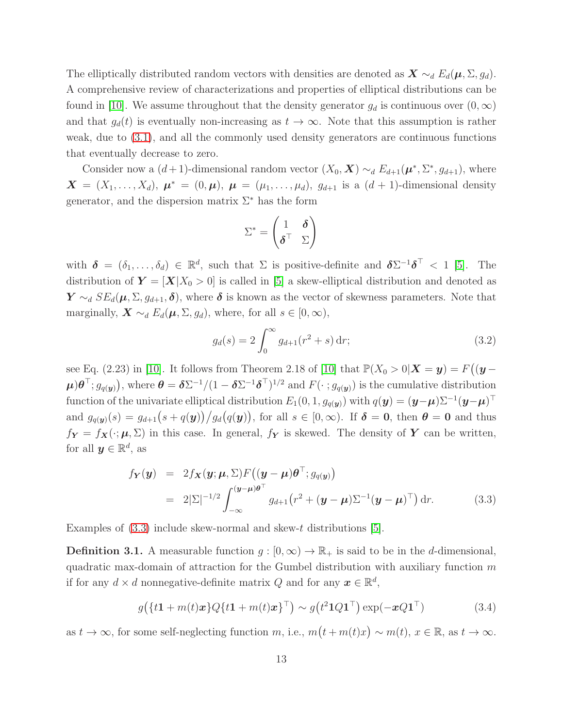The elliptically distributed random vectors with densities are denoted as  $\mathbf{X} \sim_d E_d(\boldsymbol{\mu}, \Sigma, g_d)$ . A comprehensive review of characterizations and properties of elliptical distributions can be found in [\[10\]](#page-21-8). We assume throughout that the density generator  $g_d$  is continuous over  $(0, \infty)$ and that  $g_d(t)$  is eventually non-increasing as  $t \to \infty$ . Note that this assumption is rather weak, due to [\(3.1\)](#page-11-0), and all the commonly used density generators are continuous functions that eventually decrease to zero.

Consider now a  $(d+1)$ -dimensional random vector  $(X_0, \mathbf{X}) \sim_d E_{d+1}(\boldsymbol{\mu}^*, \Sigma^*, g_{d+1})$ , where  $\mathbf{X} = (X_1, \ldots, X_d), \boldsymbol{\mu}^* = (0, \boldsymbol{\mu}), \boldsymbol{\mu} = (\mu_1, \ldots, \mu_d), g_{d+1}$  is a  $(d+1)$ -dimensional density generator, and the dispersion matrix  $\Sigma^*$  has the form

$$
\Sigma^* = \begin{pmatrix} 1 & \boldsymbol{\delta} \\ \boldsymbol{\delta}^\top & \boldsymbol{\Sigma} \end{pmatrix}
$$

with  $\delta = (\delta_1, \ldots, \delta_d) \in \mathbb{R}^d$ , such that  $\Sigma$  is positive-definite and  $\delta \Sigma^{-1} \delta^{\top} < 1$  [\[5\]](#page-20-2). The distribution of  $Y = [X|X_0 > 0]$  is called in [\[5\]](#page-20-2) a skew-elliptical distribution and denoted as  $\bm{Y} \sim_d SE_d(\bm{\mu}, \Sigma, g_{d+1}, \bm{\delta})$ , where  $\bm{\delta}$  is known as the vector of skewness parameters. Note that marginally,  $\mathbf{X} \sim_d E_d(\boldsymbol{\mu}, \Sigma, g_d)$ , where, for all  $s \in [0, \infty)$ ,

<span id="page-12-2"></span>
$$
g_d(s) = 2 \int_0^\infty g_{d+1}(r^2 + s) \, \mathrm{d}r; \tag{3.2}
$$

see Eq. (2.23) in [\[10\]](#page-21-8). It follows from Theorem 2.18 of [10] that  $\mathbb{P}(X_0 > 0 | \mathbf{X} = \mathbf{y}) = F((\mathbf{y} (\boldsymbol{\mu})\boldsymbol{\theta}^{\top};g_{q(\boldsymbol{y})}),$  where  $\boldsymbol{\theta} = \boldsymbol{\delta} \Sigma^{-1}/(1-\boldsymbol{\delta} \Sigma^{-1} \boldsymbol{\delta}^{\top})^{1/2}$  and  $F(\cdot | g_{q(\boldsymbol{y})})$  is the cumulative distribution function of the univariate elliptical distribution  $E_1(0, 1, g_{q(\bm{y})})$  with  $q(\bm{y}) = (\bm{y}-\bm{\mu})\Sigma^{-1}(\bm{y}-\bm{\mu})^\top$ and  $g_{q(\boldsymbol{y})}(s) = g_{d+1}(s+q(\boldsymbol{y}))/g_d(q(\boldsymbol{y}))$ , for all  $s \in [0,\infty)$ . If  $\boldsymbol{\delta} = \boldsymbol{0}$ , then  $\boldsymbol{\theta} = \boldsymbol{0}$  and thus  $f_Y = f_X(\cdot;\mu,\Sigma)$  in this case. In general,  $f_Y$  is skewed. The density of Y can be written, for all  $y \in \mathbb{R}^d$ , as

<span id="page-12-0"></span>
$$
f_{\mathbf{Y}}(\mathbf{y}) = 2f_{\mathbf{X}}(\mathbf{y}; \boldsymbol{\mu}, \boldsymbol{\Sigma}) F((\mathbf{y} - \boldsymbol{\mu})\boldsymbol{\theta}^{\top}; g_{q(\mathbf{y})})
$$
  
\n
$$
= 2|\boldsymbol{\Sigma}|^{-1/2} \int_{-\infty}^{(\mathbf{y} - \boldsymbol{\mu})\boldsymbol{\theta}^{\top}} g_{d+1}(r^2 + (\mathbf{y} - \boldsymbol{\mu})\boldsymbol{\Sigma}^{-1}(\mathbf{y} - \boldsymbol{\mu})^{\top}) dr.
$$
 (3.3)

Examples of  $(3.3)$  include skew-normal and skew-t distributions  $[5]$ .

**Definition 3.1.** A measurable function  $g : [0, \infty) \to \mathbb{R}_+$  is said to be in the *d*-dimensional, quadratic max-domain of attraction for the Gumbel distribution with auxiliary function  $m$ if for any  $d \times d$  nonnegative-definite matrix Q and for any  $\boldsymbol{x} \in \mathbb{R}^d$ ,

<span id="page-12-1"></span>
$$
g\big(\{t\mathbf{1}+m(t)\mathbf{x}\}Q\{t\mathbf{1}+m(t)\mathbf{x}\}^{\top}\big) \sim g\big(t^{2}\mathbf{1}Q\mathbf{1}^{\top}\big)\exp(-\mathbf{x}Q\mathbf{1}^{\top})
$$
(3.4)

as  $t \to \infty$ , for some self-neglecting function m, i.e.,  $m(t + m(t)x) \sim m(t)$ ,  $x \in \mathbb{R}$ , as  $t \to \infty$ .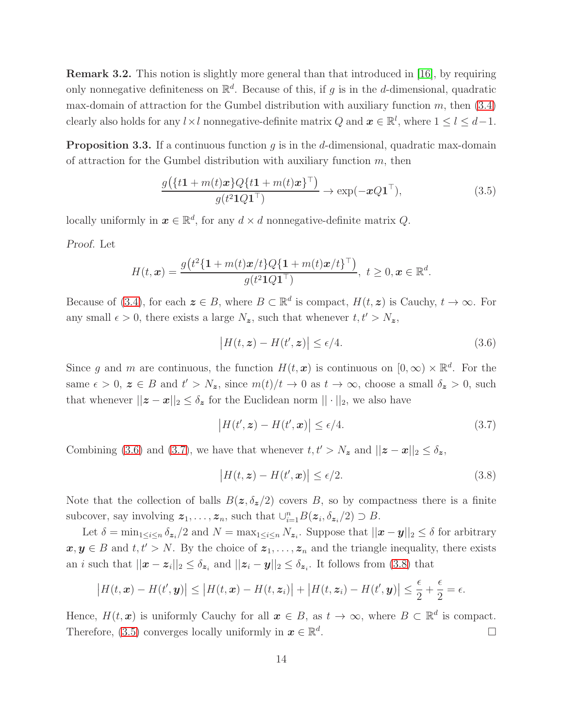<span id="page-13-5"></span>Remark 3.2. This notion is slightly more general than that introduced in [\[16\]](#page-21-1), by requiring only nonnegative definiteness on  $\mathbb{R}^d$ . Because of this, if g is in the d-dimensional, quadratic max-domain of attraction for the Gumbel distribution with auxiliary function  $m$ , then  $(3.4)$ clearly also holds for any  $l \times l$  nonnegative-definite matrix Q and  $\boldsymbol{x} \in \mathbb{R}^l$ , where  $1 \leq l \leq d-1$ .

<span id="page-13-4"></span>**Proposition 3.3.** If a continuous function  $g$  is in the d-dimensional, quadratic max-domain of attraction for the Gumbel distribution with auxiliary function  $m$ , then

<span id="page-13-3"></span>
$$
\frac{g(\lbrace t\mathbf{1}+m(t)\mathbf{x}\rbrace Q\lbrace t\mathbf{1}+m(t)\mathbf{x}\rbrace^{\top})}{g(t^{2}\mathbf{1}Q\mathbf{1}^{\top})}\to \exp(-\mathbf{x}Q\mathbf{1}^{\top}),
$$
\n(3.5)

locally uniformly in  $x \in \mathbb{R}^d$ , for any  $d \times d$  nonnegative-definite matrix Q.

*Proof.* Let

$$
H(t, \mathbf{x}) = \frac{g\left(t^2\{\mathbf{1} + m(t)\mathbf{x}/t\}Q\{\mathbf{1} + m(t)\mathbf{x}/t\}^\top\right)}{g(t^2\mathbf{1}Q\mathbf{1}^\top)}, \ t \geq 0, \mathbf{x} \in \mathbb{R}^d.
$$

Because of [\(3.4\)](#page-12-1), for each  $z \in B$ , where  $B \subset \mathbb{R}^d$  is compact,  $H(t, z)$  is Cauchy,  $t \to \infty$ . For any small  $\epsilon > 0$ , there exists a large  $N_z$ , such that whenever  $t, t' > N_z$ ,

<span id="page-13-0"></span>
$$
|H(t, \mathbf{z}) - H(t', \mathbf{z})| \le \epsilon/4. \tag{3.6}
$$

Since g and m are continuous, the function  $H(t, x)$  is continuous on  $[0, \infty) \times \mathbb{R}^d$ . For the same  $\epsilon > 0$ ,  $\mathbf{z} \in B$  and  $t' > N_{\mathbf{z}}$ , since  $m(t)/t \to 0$  as  $t \to \infty$ , choose a small  $\delta_{\mathbf{z}} > 0$ , such that whenever  $||z - x||_2 \leq \delta_z$  for the Euclidean norm  $|| \cdot ||_2$ , we also have

<span id="page-13-1"></span>
$$
\left| H(t', \mathbf{z}) - H(t', \mathbf{x}) \right| \le \epsilon/4. \tag{3.7}
$$

Combining [\(3.6\)](#page-13-0) and [\(3.7\)](#page-13-1), we have that whenever  $t, t' > N_z$  and  $||z - x||_2 \le \delta_z$ ,

<span id="page-13-2"></span>
$$
|H(t, \mathbf{z}) - H(t', \mathbf{x})| \le \epsilon/2.
$$
\n(3.8)

Note that the collection of balls  $B(z, \delta_z/2)$  covers B, so by compactness there is a finite subcover, say involving  $z_1, \ldots, z_n$ , such that  $\cup_{i=1}^n B(z_i, \delta_{z_i}/2) \supset B$ .

Let  $\delta = \min_{1 \leq i \leq n} \delta_{\mathbf{z}_i}/2$  and  $N = \max_{1 \leq i \leq n} N_{\mathbf{z}_i}$ . Suppose that  $||\mathbf{x} - \mathbf{y}||_2 \leq \delta$  for arbitrary  $x, y \in B$  and  $t, t' > N$ . By the choice of  $z_1, \ldots, z_n$  and the triangle inequality, there exists an *i* such that  $||x - z_i||_2 \le \delta_{z_i}$  and  $||z_i - y||_2 \le \delta_{z_i}$ . It follows from [\(3.8\)](#page-13-2) that

$$
\big|H(t,\boldsymbol{x})-H(t',\boldsymbol{y})\big|\leq \big|H(t,\boldsymbol{x})-H(t,\boldsymbol{z}_i)\big|+\big|H(t,\boldsymbol{z}_i)-H(t',\boldsymbol{y})\big|\leq \frac{\epsilon}{2}+\frac{\epsilon}{2}=\epsilon.
$$

Hence,  $H(t, x)$  is uniformly Cauchy for all  $x \in B$ , as  $t \to \infty$ , where  $B \subset \mathbb{R}^d$  is compact. Therefore, [\(3.5\)](#page-13-3) converges locally uniformly in  $x \in \mathbb{R}^d$ .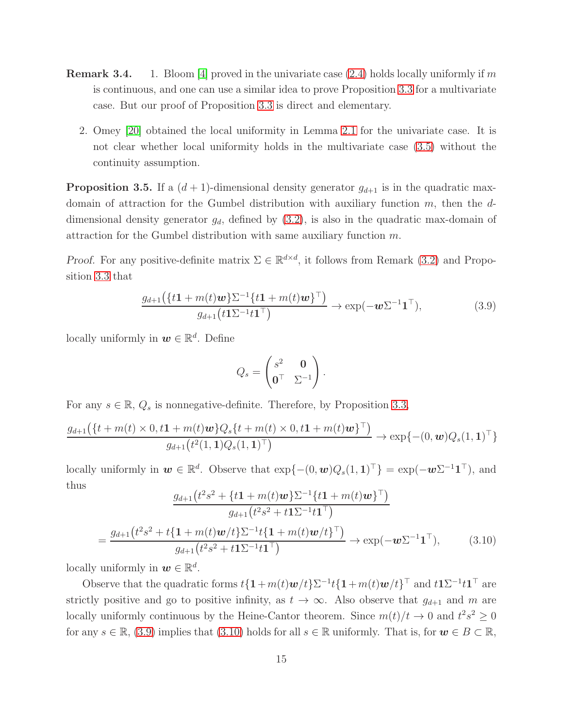- **Remark 3.4.** 1. Bloom [\[4\]](#page-20-6) proved in the univariate case [\(2.4\)](#page-4-5) holds locally uniformly if m is continuous, and one can use a similar idea to prove Proposition [3.3](#page-13-4) for a multivariate case. But our proof of Proposition [3.3](#page-13-4) is direct and elementary.
	- 2. Omey [\[20\]](#page-21-7) obtained the local uniformity in Lemma [2.1](#page-4-1) for the univariate case. It is not clear whether local uniformity holds in the multivariate case [\(3.5\)](#page-13-3) without the continuity assumption.

<span id="page-14-2"></span>**Proposition 3.5.** If a  $(d + 1)$ -dimensional density generator  $g_{d+1}$  is in the quadratic maxdomain of attraction for the Gumbel distribution with auxiliary function  $m$ , then the  $d$ dimensional density generator  $g_d$ , defined by  $(3.2)$ , is also in the quadratic max-domain of attraction for the Gumbel distribution with same auxiliary function m.

*Proof.* For any positive-definite matrix  $\Sigma \in \mathbb{R}^{d \times d}$ , it follows from Remark [\(3.2\)](#page-13-5) and Proposition [3.3](#page-13-4) that

<span id="page-14-0"></span>
$$
\frac{g_{d+1}(\lbrace t\mathbf{1}+m(t)\mathbf{w}\rbrace\Sigma^{-1}\lbrace t\mathbf{1}+m(t)\mathbf{w}\rbrace^{\top})}{g_{d+1}(t\mathbf{1}\Sigma^{-1}t\mathbf{1}^{\top})}\to\exp(-\mathbf{w}\Sigma^{-1}\mathbf{1}^{\top}),
$$
\n(3.9)

locally uniformly in  $w \in \mathbb{R}^d$ . Define

$$
Q_s = \begin{pmatrix} s^2 & \mathbf{0} \\ \mathbf{0}^\top & \Sigma^{-1} \end{pmatrix}.
$$

For any  $s \in \mathbb{R}$ ,  $Q_s$  is nonnegative-definite. Therefore, by Proposition [3.3,](#page-13-4)

$$
\frac{g_{d+1}\big(\{t+m(t)\times 0, t{\bf 1}+m(t)\bm w\}Q_s\{t+m(t)\times 0, t{\bf 1}+m(t)\bm w\}^\top\big)}{g_{d+1}\big(t^2(1,1)Q_s(1,1)^\top\big)}\to \exp\{-(0,\bm w)Q_s(1,1)^\top\}
$$

locally uniformly in  $w \in \mathbb{R}^d$ . Observe that  $\exp\{-(0, w)Q_s(1, 1)^\top\} = \exp(-w\Sigma^{-1}1^\top)$ , and thus

$$
\frac{g_{d+1}(t^2s^2 + \{t\mathbf{1} + m(t)\mathbf{w}\}\Sigma^{-1}\{t\mathbf{1} + m(t)\mathbf{w}\}^\top)}{g_{d+1}(t^2s^2 + t\mathbf{1}\Sigma^{-1}t\mathbf{1}^\top)}
$$
\n
$$
= \frac{g_{d+1}(t^2s^2 + t\{\mathbf{1} + m(t)\mathbf{w}/t\}\Sigma^{-1}t\{\mathbf{1} + m(t)\mathbf{w}/t\}^\top)}{g_{d+1}(t^2s^2 + t\mathbf{1}\Sigma^{-1}t\mathbf{1}^\top)} \to \exp(-\mathbf{w}\Sigma^{-1}\mathbf{1}^\top), \tag{3.10}
$$

<span id="page-14-1"></span>locally uniformly in  $w \in \mathbb{R}^d$ .

Observe that the quadratic forms  $t\{1+m(t)w/t\}\Sigma^{-1}t\{1+m(t)w/t\}^{\top}$  and  $t1\Sigma^{-1}t1^{\top}$  are strictly positive and go to positive infinity, as  $t \to \infty$ . Also observe that  $g_{d+1}$  and m are locally uniformly continuous by the Heine-Cantor theorem. Since  $m(t)/t \to 0$  and  $t^2s^2 \ge 0$ for any  $s \in \mathbb{R}$ , [\(3.9\)](#page-14-0) implies that [\(3.10\)](#page-14-1) holds for all  $s \in \mathbb{R}$  uniformly. That is, for  $w \in B \subset \mathbb{R}$ ,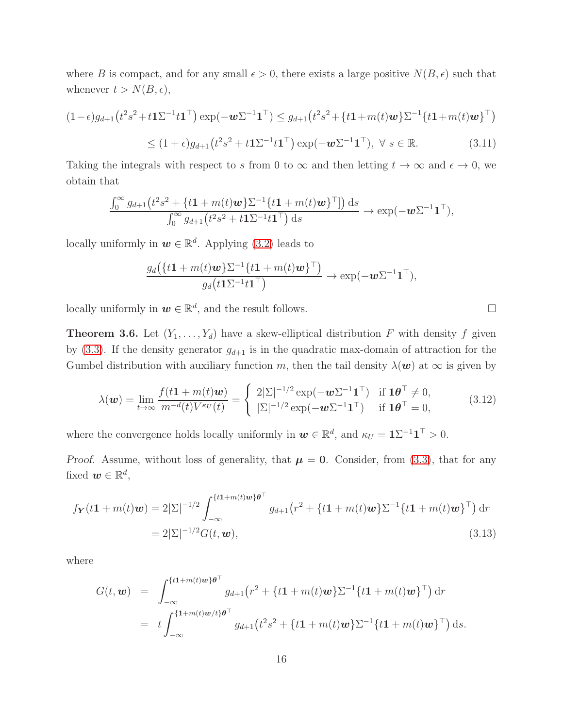where B is compact, and for any small  $\epsilon > 0$ , there exists a large positive  $N(B, \epsilon)$  such that whenever  $t > N(B, \epsilon)$ ,

$$
(1 - \epsilon)g_{d+1}(t^2 s^2 + t \mathbf{1} \Sigma^{-1} t \mathbf{1}^\top) \exp(-\mathbf{w} \Sigma^{-1} \mathbf{1}^\top) \le g_{d+1}(t^2 s^2 + \{t \mathbf{1} + m(t)\mathbf{w}\} \Sigma^{-1} \{t \mathbf{1} + m(t)\mathbf{w}\}^\top)
$$
  
 
$$
\le (1 + \epsilon)g_{d+1}(t^2 s^2 + t \mathbf{1} \Sigma^{-1} t \mathbf{1}^\top) \exp(-\mathbf{w} \Sigma^{-1} \mathbf{1}^\top), \ \forall \ s \in \mathbb{R}.
$$
 (3.11)

Taking the integrals with respect to s from 0 to  $\infty$  and then letting  $t \to \infty$  and  $\epsilon \to 0$ , we obtain that

<span id="page-15-0"></span>
$$
\frac{\int_0^\infty g_{d+1}\left(t^2 s^2 + \left\{t\mathbf{1} + m(t)\mathbf{w}\right\}\Sigma^{-1}\left\{t\mathbf{1} + m(t)\mathbf{w}\right\}^\top\right)\right) \mathrm{d}s}{\int_0^\infty g_{d+1}\left(t^2 s^2 + t\mathbf{1}\Sigma^{-1} t\mathbf{1}^\top\right) \mathrm{d}s} \to \exp(-\mathbf{w}\Sigma^{-1}\mathbf{1}^\top),
$$

locally uniformly in  $w \in \mathbb{R}^d$ . Applying [\(3.2\)](#page-12-2) leads to

$$
\frac{g_d\big(\{t\mathbf{1}+m(t)\mathbf{w}\}\Sigma^{-1}\{t\mathbf{1}+m(t)\mathbf{w}\}^\top\big)}{g_d\big(t\mathbf{1}\Sigma^{-1}t\mathbf{1}^\top\big)} \rightarrow \exp(-\mathbf{w}\Sigma^{-1}\mathbf{1}^\top),
$$

locally uniformly in  $w \in \mathbb{R}^d$ , and the result follows.

<span id="page-15-3"></span>**Theorem 3.6.** Let  $(Y_1, \ldots, Y_d)$  have a skew-elliptical distribution F with density f given by [\(3.3\)](#page-12-0). If the density generator  $g_{d+1}$  is in the quadratic max-domain of attraction for the Gumbel distribution with auxiliary function m, then the tail density  $\lambda(\boldsymbol{w})$  at  $\infty$  is given by

<span id="page-15-2"></span>
$$
\lambda(\boldsymbol{w}) = \lim_{t \to \infty} \frac{f(t\mathbf{1} + m(t)\boldsymbol{w})}{m^{-d}(t)V^{\kappa_U}(t)} = \begin{cases} 2|\Sigma|^{-1/2} \exp(-\boldsymbol{w}\Sigma^{-1}\mathbf{1}^{\top}) & \text{if } \mathbf{1}\boldsymbol{\theta}^{\top} \neq 0, \\ |\Sigma|^{-1/2} \exp(-\boldsymbol{w}\Sigma^{-1}\mathbf{1}^{\top}) & \text{if } \mathbf{1}\boldsymbol{\theta}^{\top} = 0, \end{cases}
$$
(3.12)

where the convergence holds locally uniformly in  $w \in \mathbb{R}^d$ , and  $\kappa_U = \mathbf{1} \Sigma^{-1} \mathbf{1}^\top > 0$ .

*Proof.* Assume, without loss of generality, that  $\mu = 0$ . Consider, from [\(3.3\)](#page-12-0), that for any fixed  $\boldsymbol{w} \in \mathbb{R}^d$ ,

$$
f_{\mathbf{Y}}(t\mathbf{1} + m(t)\mathbf{w}) = 2|\Sigma|^{-1/2} \int_{-\infty}^{\{t\mathbf{1} + m(t)\mathbf{w}\}\theta^{\top}} g_{d+1}(r^2 + \{t\mathbf{1} + m(t)\mathbf{w}\}\Sigma^{-1}\{t\mathbf{1} + m(t)\mathbf{w}\}^{\top}) dr
$$
  
= 2|\Sigma|^{-1/2} G(t, \mathbf{w}), (3.13)

where

$$
G(t, \mathbf{w}) = \int_{-\infty}^{\{t\mathbf{1}+m(t)\mathbf{w}\}\theta^{\top}} g_{d+1}(r^2 + \{t\mathbf{1}+m(t)\mathbf{w}\}\Sigma^{-1}\{t\mathbf{1}+m(t)\mathbf{w}\}^{\top}) dr
$$
  
=  $t \int_{-\infty}^{\{1+m(t)\mathbf{w}/t\}\theta^{\top}} g_{d+1}(t^2 s^2 + \{t\mathbf{1}+m(t)\mathbf{w}\}\Sigma^{-1}\{t\mathbf{1}+m(t)\mathbf{w}\}^{\top}) ds.$ 

<span id="page-15-1"></span>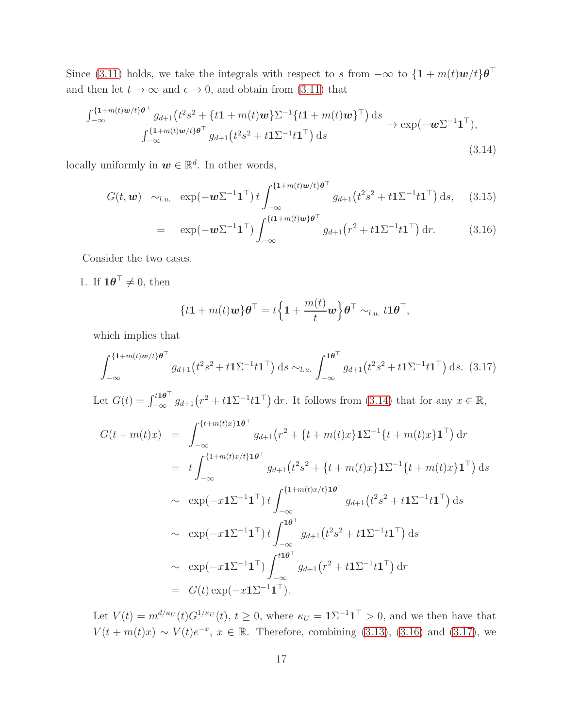Since [\(3.11\)](#page-15-0) holds, we take the integrals with respect to s from  $-\infty$  to  $\{1+m(t)\mathbf{w}/t\}$  $\boldsymbol{\theta}^{\top}$ and then let  $t \to \infty$  and  $\epsilon \to 0$ , and obtain from [\(3.11\)](#page-15-0) that

<span id="page-16-0"></span>
$$
\frac{\int_{-\infty}^{[1+m(t)\mathbf{w}/t]\theta^{\top} } g_{d+1}\left(t^{2}s^{2} + \{t\mathbf{1} + m(t)\mathbf{w}\}\right) \sum^{-1} \{t\mathbf{1} + m(t)\mathbf{w}\}^{\top}\right) ds}{\int_{-\infty}^{[1+m(t)\mathbf{w}/t]\theta^{\top} } g_{d+1}\left(t^{2}s^{2} + t\mathbf{1}\Sigma^{-1}t\mathbf{1}^{\top}\right) ds} \rightarrow \exp(-\mathbf{w}\Sigma^{-1}\mathbf{1}^{\top}),
$$
\n(3.14)

locally uniformly in  $w \in \mathbb{R}^d$ . In other words,

<span id="page-16-1"></span>
$$
G(t, \mathbf{w}) \sim_{l.u.} \exp(-\mathbf{w} \Sigma^{-1} \mathbf{1}^{\top}) t \int_{-\infty}^{\{1+m(t)\mathbf{w}/t\} \theta^{\top}} g_{d+1}(t^2 s^2 + t \mathbf{1} \Sigma^{-1} t \mathbf{1}^{\top}) ds, \quad (3.15)
$$

$$
= \exp(-\boldsymbol{w}\Sigma^{-1}\mathbf{1}^{\top}) \int_{-\infty}^{\{t\mathbf{1}+m(t)\boldsymbol{w}\}\boldsymbol{\theta}^{\top}} g_{d+1}(r^2+t\mathbf{1}\Sigma^{-1}t\mathbf{1}^{\top}) dr.
$$
 (3.16)

Consider the two cases.

1. If  $\mathbf{1}\boldsymbol{\theta}^{\top} \neq 0$ , then

$$
\{t\mathbf{1}+m(t)\mathbf{w}\}\boldsymbol{\theta}^{\top}=t\Big\{\mathbf{1}+\frac{m(t)}{t}\mathbf{w}\Big\}\boldsymbol{\theta}^{\top}\sim_{l.u.}t\mathbf{1}\boldsymbol{\theta}^{\top},
$$

which implies that

<span id="page-16-2"></span>
$$
\int_{-\infty}^{\{1+m(t)w/t\}\theta^{\top}} g_{d+1}(t^2 s^2 + t \mathbf{1} \Sigma^{-1} t \mathbf{1}^{\top}) ds \sim_{l.u.} \int_{-\infty}^{\mathbf{1} \theta^{\top}} g_{d+1}(t^2 s^2 + t \mathbf{1} \Sigma^{-1} t \mathbf{1}^{\top}) ds. (3.17)
$$

Let  $G(t) = \int_{-\infty}^{t\mathbf{10}^\top} g_{d+1}(r^2 + t\mathbf{1}\Sigma^{-1}t\mathbf{1}^\top) dr$ . It follows from [\(3.14\)](#page-16-0) that for any  $x \in \mathbb{R}$ ,

$$
G(t+m(t)x) = \int_{-\infty}^{\{t+m(t)x\}\mathbf{1}\theta^{\top}} g_{d+1}(r^{2} + \{t+m(t)x\}\mathbf{1}\Sigma^{-1}\{t+m(t)x\}\mathbf{1}^{\top}) dr
$$
  
\n
$$
= t \int_{-\infty}^{\{1+m(t)x/t\}\mathbf{1}\theta^{\top}} g_{d+1}(t^{2}s^{2} + \{t+m(t)x\}\mathbf{1}\Sigma^{-1}\{t+m(t)x\}\mathbf{1}^{\top}) ds
$$
  
\n
$$
\sim \exp(-x\mathbf{1}\Sigma^{-1}\mathbf{1}^{\top}) t \int_{-\infty}^{\{1+m(t)x/t\}\mathbf{1}\theta^{\top}} g_{d+1}(t^{2}s^{2} + t\mathbf{1}\Sigma^{-1}t\mathbf{1}^{\top}) ds
$$
  
\n
$$
\sim \exp(-x\mathbf{1}\Sigma^{-1}\mathbf{1}^{\top}) t \int_{-\infty}^{\mathbf{1}\theta^{\top}} g_{d+1}(t^{2}s^{2} + t\mathbf{1}\Sigma^{-1}t\mathbf{1}^{\top}) ds
$$
  
\n
$$
\sim \exp(-x\mathbf{1}\Sigma^{-1}\mathbf{1}^{\top}) \int_{-\infty}^{t\mathbf{1}\theta^{\top}} g_{d+1}(r^{2} + t\mathbf{1}\Sigma^{-1}t\mathbf{1}^{\top}) dr
$$
  
\n
$$
= G(t) \exp(-x\mathbf{1}\Sigma^{-1}\mathbf{1}^{\top}).
$$

Let  $V(t) = m^{d/\kappa_U}(t) G^{1/\kappa_U}(t)$ ,  $t \geq 0$ , where  $\kappa_U = \mathbf{1} \Sigma^{-1} \mathbf{1}^\top > 0$ , and we then have that  $V(t+m(t)x) \sim V(t)e^{-x}, x \in \mathbb{R}$ . Therefore, combining [\(3.13\)](#page-15-1), [\(3.16\)](#page-16-1) and [\(3.17\)](#page-16-2), we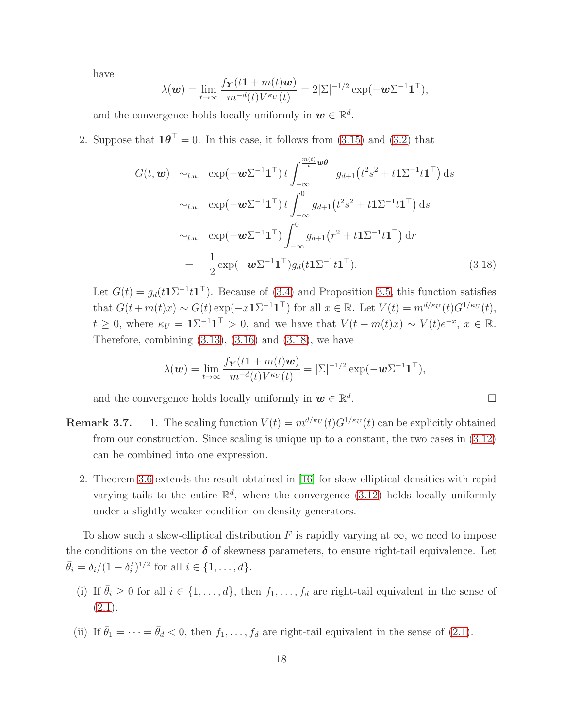have

$$
\lambda(\boldsymbol{w}) = \lim_{t \to \infty} \frac{f_{\boldsymbol{Y}}(t\mathbf{1} + m(t)\boldsymbol{w})}{m^{-d}(t)V^{\kappa_U}(t)} = 2|\Sigma|^{-1/2} \exp(-\boldsymbol{w}\Sigma^{-1}\mathbf{1}^{\top}),
$$

and the convergence holds locally uniformly in  $w \in \mathbb{R}^d$ .

2. Suppose that  $\mathbf{1}\boldsymbol{\theta}^{\top} = 0$ . In this case, it follows from [\(3.15\)](#page-16-1) and [\(3.2\)](#page-12-2) that

<span id="page-17-0"></span>
$$
G(t, \mathbf{w}) \sim_{l.u.} \exp(-\mathbf{w}\Sigma^{-1}\mathbf{1}^{\top}) t \int_{-\infty}^{\frac{m(t)}{t} \mathbf{w}\theta^{\top}} g_{d+1}(t^{2}s^{2} + t\mathbf{1}\Sigma^{-1}t\mathbf{1}^{\top}) ds
$$
  

$$
\sim_{l.u.} \exp(-\mathbf{w}\Sigma^{-1}\mathbf{1}^{\top}) t \int_{-\infty}^{0} g_{d+1}(t^{2}s^{2} + t\mathbf{1}\Sigma^{-1}t\mathbf{1}^{\top}) ds
$$
  

$$
\sim_{l.u.} \exp(-\mathbf{w}\Sigma^{-1}\mathbf{1}^{\top}) \int_{-\infty}^{0} g_{d+1}(r^{2} + t\mathbf{1}\Sigma^{-1}t\mathbf{1}^{\top}) dr
$$
  

$$
= \frac{1}{2} \exp(-\mathbf{w}\Sigma^{-1}\mathbf{1}^{\top}) g_{d}(t\mathbf{1}\Sigma^{-1}t\mathbf{1}^{\top}). \tag{3.18}
$$

Let  $G(t) = g_d(t1\Sigma^{-1}t1^\top)$ . Because of [\(3.4\)](#page-12-1) and Proposition [3.5,](#page-14-2) this function satisfies that  $G(t+m(t)x) \sim G(t) \exp(-x\mathbf{1}\Sigma^{-1}\mathbf{1}^{\top})$  for all  $x \in \mathbb{R}$ . Let  $V(t) = m^{d/\kappa_U}(t)G^{1/\kappa_U}(t)$ ,  $t \geq 0$ , where  $\kappa_U = \mathbf{1} \Sigma^{-1} \mathbf{1}^\top > 0$ , and we have that  $V(t + m(t)x) \sim V(t)e^{-x}$ ,  $x \in \mathbb{R}$ . Therefore, combining  $(3.13)$ ,  $(3.16)$  and  $(3.18)$ , we have

$$
\lambda(\boldsymbol{w}) = \lim_{t \to \infty} \frac{f_{\boldsymbol{Y}}(t\mathbf{1} + m(t)\boldsymbol{w})}{m^{-d}(t)V^{\kappa_U}(t)} = |\Sigma|^{-1/2} \exp(-\boldsymbol{w}\Sigma^{-1}\mathbf{1}^{\top}),
$$

and the convergence holds locally uniformly in  $w \in \mathbb{R}^d$ . — Первый процесс в постановки программа в серверном становки производительно становки производительно станов<br>В серверном становки производительно становки производительно становки производительно становки производительн

- **Remark 3.7.** 1. The scaling function  $V(t) = m^{d/\kappa_U}(t)G^{1/\kappa_U}(t)$  can be explicitly obtained from our construction. Since scaling is unique up to a constant, the two cases in [\(3.12\)](#page-15-2) can be combined into one expression.
	- 2. Theorem [3.6](#page-15-3) extends the result obtained in [\[16\]](#page-21-1) for skew-elliptical densities with rapid varying tails to the entire  $\mathbb{R}^d$ , where the convergence [\(3.12\)](#page-15-2) holds locally uniformly under a slightly weaker condition on density generators.

To show such a skew-elliptical distribution F is rapidly varying at  $\infty$ , we need to impose the conditions on the vector  $\delta$  of skewness parameters, to ensure right-tail equivalence. Let  $\bar{\theta}_i = \delta_i / (1 - \delta_i^2)^{1/2}$  for all  $i \in \{1, ..., d\}.$ 

- (i) If  $\bar{\theta}_i \geq 0$  for all  $i \in \{1, ..., d\}$ , then  $f_1, ..., f_d$  are right-tail equivalent in the sense of  $(2.1).$  $(2.1).$
- (ii) If  $\bar{\theta}_1 = \cdots = \bar{\theta}_d < 0$ , then  $f_1, \ldots, f_d$  are right-tail equivalent in the sense of [\(2.1\)](#page-4-0).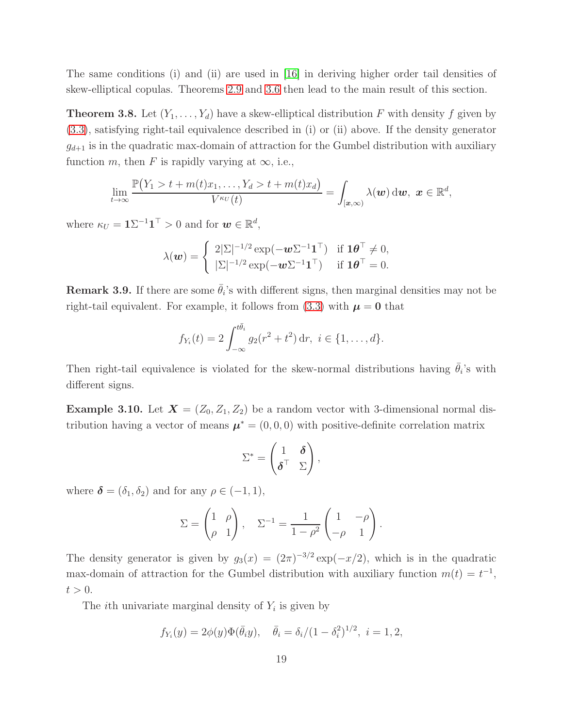The same conditions (i) and (ii) are used in [\[16\]](#page-21-1) in deriving higher order tail densities of skew-elliptical copulas. Theorems [2.9](#page-10-0) and [3.6](#page-15-3) then lead to the main result of this section.

<span id="page-18-0"></span>**Theorem 3.8.** Let  $(Y_1, \ldots, Y_d)$  have a skew-elliptical distribution F with density f given by [\(3.3\)](#page-12-0), satisfying right-tail equivalence described in (i) or (ii) above. If the density generator  $g_{d+1}$  is in the quadratic max-domain of attraction for the Gumbel distribution with auxiliary function m, then F is rapidly varying at  $\infty$ , i.e.,

$$
\lim_{t\to\infty}\frac{\mathbb{P}\big(Y_1>t+m(t)x_1,\ldots,Y_d>t+m(t)x_d\big)}{V^{\kappa_U}(t)}=\int_{[x,\infty)}\lambda(\boldsymbol{w})\,\mathrm{d}\boldsymbol{w},\ \boldsymbol{x}\in\mathbb{R}^d,
$$

where  $\kappa_U = \mathbf{1} \Sigma^{-1} \mathbf{1}^\top > 0$  and for  $\mathbf{w} \in \mathbb{R}^d$ ,

$$
\lambda(\boldsymbol{w}) = \begin{cases} 2|\Sigma|^{-1/2} \exp(-\boldsymbol{w}\Sigma^{-1}\mathbf{1}^{\top}) & \text{if } \mathbf{1}\boldsymbol{\theta}^{\top} \neq 0, \\ |\Sigma|^{-1/2} \exp(-\boldsymbol{w}\Sigma^{-1}\mathbf{1}^{\top}) & \text{if } \mathbf{1}\boldsymbol{\theta}^{\top} = 0. \end{cases}
$$

**Remark 3.9.** If there are some  $\bar{\theta}_i$ 's with different signs, then marginal densities may not be right-tail equivalent. For example, it follows from [\(3.3\)](#page-12-0) with  $\mu = 0$  that

$$
f_{Y_i}(t) = 2 \int_{-\infty}^{t\bar{\theta}_i} g_2(r^2 + t^2) dr, \ i \in \{1, ..., d\}.
$$

Then right-tail equivalence is violated for the skew-normal distributions having  $\bar{\theta}_i$ 's with different signs.

**Example 3.10.** Let  $X = (Z_0, Z_1, Z_2)$  be a random vector with 3-dimensional normal distribution having a vector of means  $\mu^* = (0, 0, 0)$  with positive-definite correlation matrix

$$
\Sigma^* = \begin{pmatrix} 1 & \delta \\ \delta^\top & \Sigma \end{pmatrix},
$$

where  $\boldsymbol{\delta} = (\delta_1, \delta_2)$  and for any  $\rho \in (-1, 1)$ ,

$$
\Sigma = \begin{pmatrix} 1 & \rho \\ \rho & 1 \end{pmatrix}, \quad \Sigma^{-1} = \frac{1}{1 - \rho^2} \begin{pmatrix} 1 & -\rho \\ -\rho & 1 \end{pmatrix}.
$$

The density generator is given by  $g_3(x) = (2\pi)^{-3/2} \exp(-x/2)$ , which is in the quadratic max-domain of attraction for the Gumbel distribution with auxiliary function  $m(t) = t^{-1}$ ,  $t > 0$ .

The *i*th univariate marginal density of  $Y_i$  is given by

$$
f_{Y_i}(y) = 2\phi(y)\Phi(\bar{\theta}_i y), \quad \bar{\theta}_i = \delta_i/(1 - \delta_i^2)^{1/2}, \quad i = 1, 2,
$$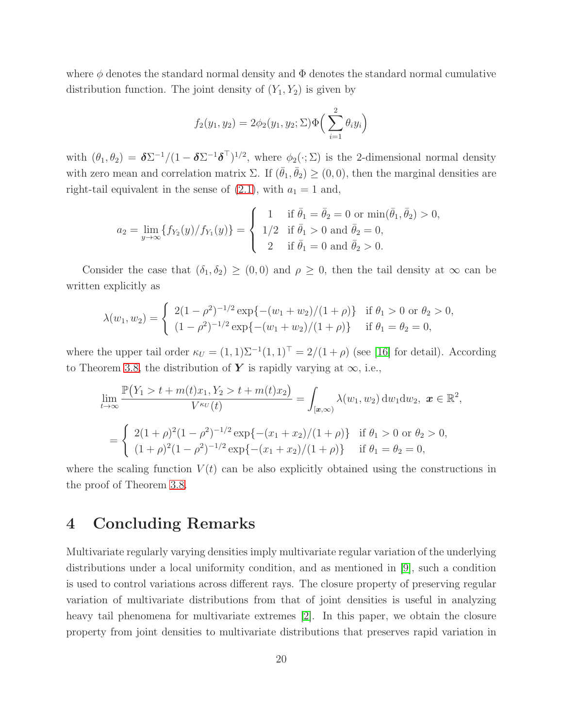where  $\phi$  denotes the standard normal density and  $\Phi$  denotes the standard normal cumulative distribution function. The joint density of  $(Y_1, Y_2)$  is given by

$$
f_2(y_1, y_2) = 2\phi_2(y_1, y_2; \Sigma) \Phi\left(\sum_{i=1}^2 \theta_i y_i\right)
$$

with  $(\theta_1, \theta_2) = \delta \Sigma^{-1} / (1 - \delta \Sigma^{-1} \delta^{-1})^{1/2}$ , where  $\phi_2(\cdot; \Sigma)$  is the 2-dimensional normal density with zero mean and correlation matrix  $\Sigma$ . If  $(\bar{\theta}_1, \bar{\theta}_2) \geq (0, 0)$ , then the marginal densities are right-tail equivalent in the sense of  $(2.1)$ , with  $a_1 = 1$  and,

$$
a_2 = \lim_{y \to \infty} \{ f_{Y_2}(y) / f_{Y_1}(y) \} = \begin{cases} 1 & \text{if } \bar{\theta}_1 = \bar{\theta}_2 = 0 \text{ or } \min(\bar{\theta}_1, \bar{\theta}_2) > 0, \\ 1/2 & \text{if } \bar{\theta}_1 > 0 \text{ and } \bar{\theta}_2 = 0, \\ 2 & \text{if } \bar{\theta}_1 = 0 \text{ and } \bar{\theta}_2 > 0. \end{cases}
$$

Consider the case that  $(\delta_1, \delta_2) \geq (0, 0)$  and  $\rho \geq 0$ , then the tail density at  $\infty$  can be written explicitly as

$$
\lambda(w_1, w_2) = \begin{cases} 2(1 - \rho^2)^{-1/2} \exp\{-(w_1 + w_2)/(1 + \rho)\} & \text{if } \theta_1 > 0 \text{ or } \theta_2 > 0, \\ (1 - \rho^2)^{-1/2} \exp\{-(w_1 + w_2)/(1 + \rho)\} & \text{if } \theta_1 = \theta_2 = 0, \end{cases}
$$

where the upper tail order  $\kappa_U = (1,1)\Sigma^{-1}(1,1)^{\top} = 2/(1+\rho)$  (see [\[16\]](#page-21-1) for detail). According to Theorem [3.8,](#page-18-0) the distribution of Y is rapidly varying at  $\infty$ , i.e.,

$$
\lim_{t \to \infty} \frac{\mathbb{P}(Y_1 > t + m(t)x_1, Y_2 > t + m(t)x_2)}{V^{\kappa_U}(t)} = \int_{[\mathbf{x}, \infty)} \lambda(w_1, w_2) dw_1 dw_2, \mathbf{x} \in \mathbb{R}^2,
$$
  
= 
$$
\begin{cases} 2(1+\rho)^2 (1-\rho^2)^{-1/2} \exp\{-(x_1+x_2)/(1+\rho)\} & \text{if } \theta_1 > 0 \text{ or } \theta_2 > 0, \\ (1+\rho)^2 (1-\rho^2)^{-1/2} \exp\{-(x_1+x_2)/(1+\rho)\} & \text{if } \theta_1 = \theta_2 = 0, \end{cases}
$$

where the scaling function  $V(t)$  can be also explicitly obtained using the constructions in the proof of Theorem [3.8.](#page-18-0)

# 4 Concluding Remarks

Multivariate regularly varying densities imply multivariate regular variation of the underlying distributions under a local uniformity condition, and as mentioned in [\[9\]](#page-21-0), such a condition is used to control variations across different rays. The closure property of preserving regular variation of multivariate distributions from that of joint densities is useful in analyzing heavy tail phenomena for multivariate extremes [\[2\]](#page-20-7). In this paper, we obtain the closure property from joint densities to multivariate distributions that preserves rapid variation in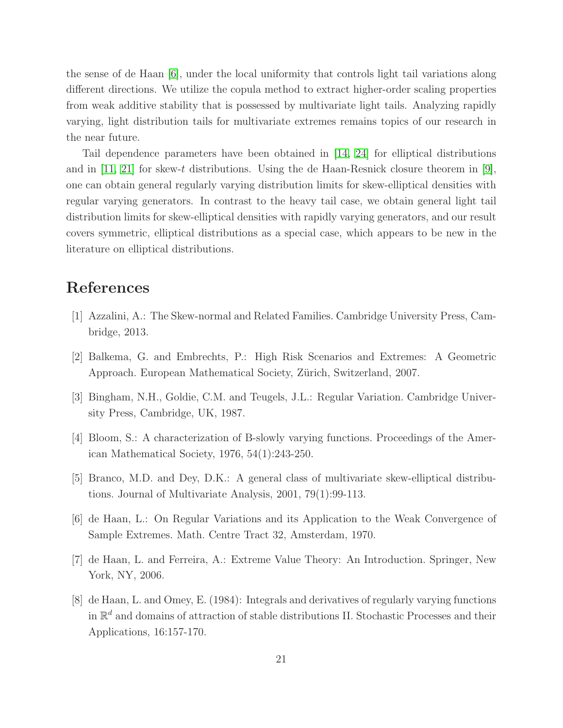the sense of de Haan [\[6\]](#page-20-1), under the local uniformity that controls light tail variations along different directions. We utilize the copula method to extract higher-order scaling properties from weak additive stability that is possessed by multivariate light tails. Analyzing rapidly varying, light distribution tails for multivariate extremes remains topics of our research in the near future.

Tail dependence parameters have been obtained in [\[14,](#page-21-9) [24\]](#page-22-1) for elliptical distributions and in [\[11,](#page-21-10) [21\]](#page-21-11) for skew-t distributions. Using the de Haan-Resnick closure theorem in [\[9\]](#page-21-0), one can obtain general regularly varying distribution limits for skew-elliptical densities with regular varying generators. In contrast to the heavy tail case, we obtain general light tail distribution limits for skew-elliptical densities with rapidly varying generators, and our result covers symmetric, elliptical distributions as a special case, which appears to be new in the literature on elliptical distributions.

# <span id="page-20-3"></span>References

- <span id="page-20-7"></span>[1] Azzalini, A.: The Skew-normal and Related Families. Cambridge University Press, Cambridge, 2013.
- <span id="page-20-4"></span>[2] Balkema, G. and Embrechts, P.: High Risk Scenarios and Extremes: A Geometric Approach. European Mathematical Society, Zürich, Switzerland, 2007.
- <span id="page-20-6"></span>[3] Bingham, N.H., Goldie, C.M. and Teugels, J.L.: Regular Variation. Cambridge University Press, Cambridge, UK, 1987.
- <span id="page-20-2"></span>[4] Bloom, S.: A characterization of B-slowly varying functions. Proceedings of the American Mathematical Society, 1976, 54(1):243-250.
- <span id="page-20-1"></span>[5] Branco, M.D. and Dey, D.K.: A general class of multivariate skew-elliptical distributions. Journal of Multivariate Analysis, 2001, 79(1):99-113.
- <span id="page-20-5"></span>[6] de Haan, L.: On Regular Variations and its Application to the Weak Convergence of Sample Extremes. Math. Centre Tract 32, Amsterdam, 1970.
- <span id="page-20-0"></span>[7] de Haan, L. and Ferreira, A.: Extreme Value Theory: An Introduction. Springer, New York, NY, 2006.
- [8] de Haan, L. and Omey, E. (1984): Integrals and derivatives of regularly varying functions in  $\mathbb{R}^d$  and domains of attraction of stable distributions II. Stochastic Processes and their Applications, 16:157-170.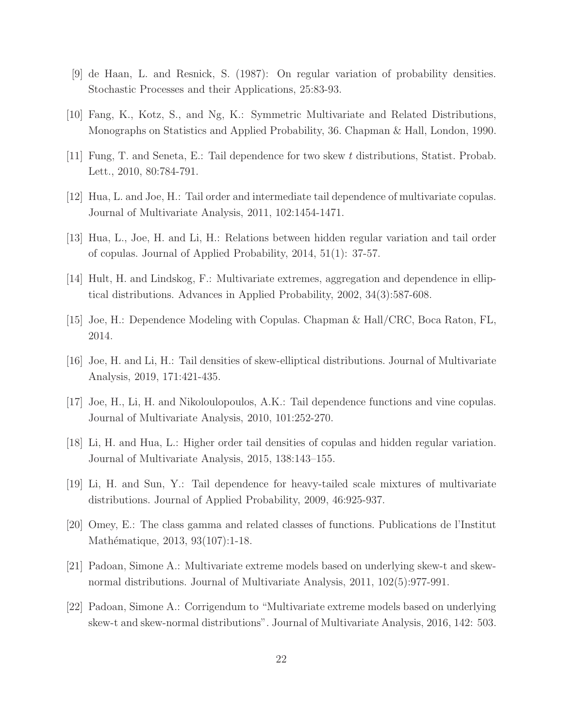- <span id="page-21-8"></span><span id="page-21-0"></span>[9] de Haan, L. and Resnick, S. (1987): On regular variation of probability densities. Stochastic Processes and their Applications, 25:83-93.
- <span id="page-21-10"></span>[10] Fang, K., Kotz, S., and Ng, K.: Symmetric Multivariate and Related Distributions, Monographs on Statistics and Applied Probability, 36. Chapman & Hall, London, 1990.
- <span id="page-21-2"></span>[11] Fung, T. and Seneta, E.: Tail dependence for two skew t distributions, Statist. Probab. Lett., 2010, 80:784-791.
- <span id="page-21-3"></span>[12] Hua, L. and Joe, H.: Tail order and intermediate tail dependence of multivariate copulas. Journal of Multivariate Analysis, 2011, 102:1454-1471.
- <span id="page-21-9"></span>[13] Hua, L., Joe, H. and Li, H.: Relations between hidden regular variation and tail order of copulas. Journal of Applied Probability, 2014, 51(1): 37-57.
- <span id="page-21-6"></span>[14] Hult, H. and Lindskog, F.: Multivariate extremes, aggregation and dependence in elliptical distributions. Advances in Applied Probability, 2002, 34(3):587-608.
- <span id="page-21-1"></span>[15] Joe, H.: Dependence Modeling with Copulas. Chapman & Hall/CRC, Boca Raton, FL, 2014.
- [16] Joe, H. and Li, H.: Tail densities of skew-elliptical distributions. Journal of Multivariate Analysis, 2019, 171:421-435.
- <span id="page-21-4"></span>[17] Joe, H., Li, H. and Nikoloulopoulos, A.K.: Tail dependence functions and vine copulas. Journal of Multivariate Analysis, 2010, 101:252-270.
- <span id="page-21-5"></span>[18] Li, H. and Hua, L.: Higher order tail densities of copulas and hidden regular variation. Journal of Multivariate Analysis, 2015, 138:143–155.
- <span id="page-21-7"></span>[19] Li, H. and Sun, Y.: Tail dependence for heavy-tailed scale mixtures of multivariate distributions. Journal of Applied Probability, 2009, 46:925-937.
- <span id="page-21-11"></span>[20] Omey, E.: The class gamma and related classes of functions. Publications de l'Institut Mathématique, 2013, 93(107):1-18.
- [21] Padoan, Simone A.: Multivariate extreme models based on underlying skew-t and skewnormal distributions. Journal of Multivariate Analysis, 2011, 102(5):977-991.
- [22] Padoan, Simone A.: Corrigendum to "Multivariate extreme models based on underlying skew-t and skew-normal distributions". Journal of Multivariate Analysis, 2016, 142: 503.